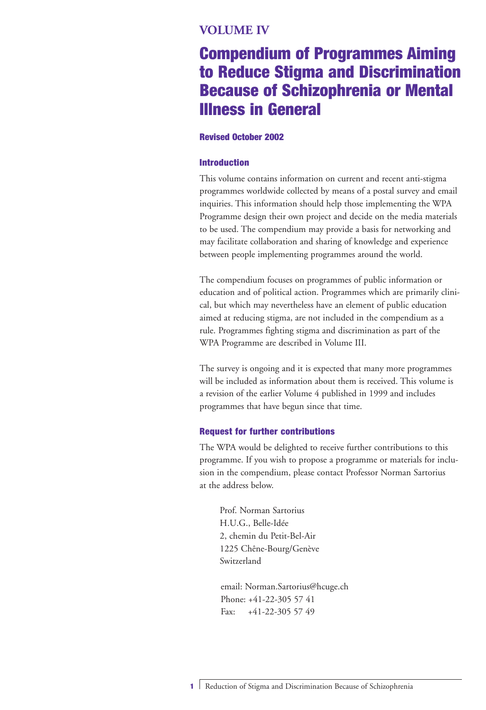# **VOLUME IV**

# **Compendium of Programmes Aiming to Reduce Stigma and Discrimination Because of Schizophrenia or Mental Illness in General**

## **Revised October 2002**

# **Introduction**

This volume contains information on current and recent anti-stigma programmes worldwide collected by means of a postal survey and email inquiries. This information should help those implementing the WPA Programme design their own project and decide on the media materials to be used. The compendium may provide a basis for networking and may facilitate collaboration and sharing of knowledge and experience between people implementing programmes around the world.

The compendium focuses on programmes of public information or education and of political action. Programmes which are primarily clinical, but which may nevertheless have an element of public education aimed at reducing stigma, are not included in the compendium as a rule. Programmes fighting stigma and discrimination as part of the WPA Programme are described in Volume III.

The survey is ongoing and it is expected that many more programmes will be included as information about them is received. This volume is a revision of the earlier Volume 4 published in 1999 and includes programmes that have begun since that time.

#### **Request for further contributions**

The WPA would be delighted to receive further contributions to this programme. If you wish to propose a programme or materials for inclusion in the compendium, please contact Professor Norman Sartorius at the address below.

Prof. Norman Sartorius H.U.G., Belle-Idée 2, chemin du Petit-Bel-Air 1225 Chêne-Bourg/Genève Switzerland

email: Norman.Sartorius@hcuge.ch Phone: +41-22-305 57 41 Fax: +41-22-305 57 49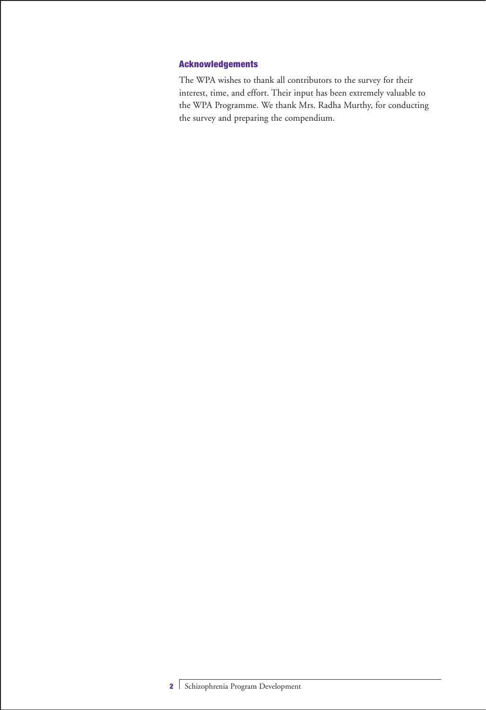# **Acknowledgements**

The WPA wishes to thank all contributors to the survey for their interest, time, and effort. Their input has been extremely valuable to the WPA Programme. We thank Mrs. Radha Murthy, for conducting the survey and preparing the compendium.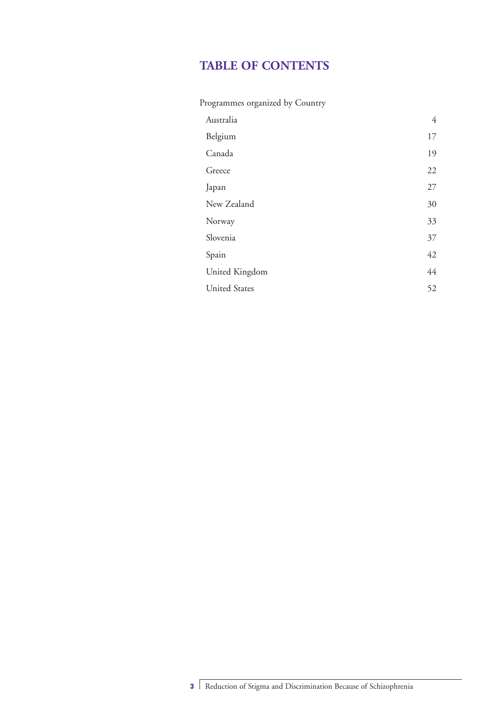# **TABLE OF CONTENTS**

# Programmes organized by Country

| Australia            | $\overline{4}$ |
|----------------------|----------------|
| Belgium              | 17             |
| Canada               | 19             |
| Greece               | 22             |
| Japan                | 27             |
| New Zealand          | 30             |
| Norway               | 33             |
| Slovenia             | 37             |
| Spain                | 42             |
| United Kingdom       | 44             |
| <b>United States</b> | 52             |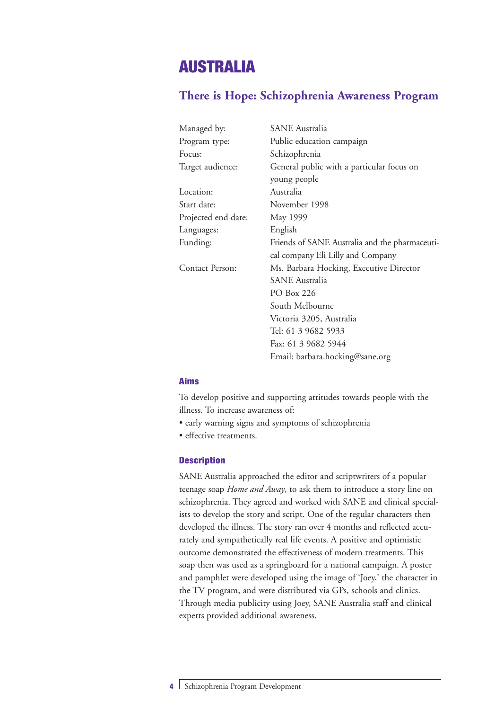# **AUSTRALIA**

# **There is Hope: Schizophrenia Awareness Program**

| Managed by:         | SANE Australia                                 |
|---------------------|------------------------------------------------|
| Program type:       | Public education campaign                      |
| Focus:              | Schizophrenia                                  |
| Target audience:    | General public with a particular focus on      |
|                     | young people                                   |
| Location:           | Australia                                      |
| Start date:         | November 1998                                  |
| Projected end date: | May 1999                                       |
| Languages:          | English                                        |
| Funding:            | Friends of SANE Australia and the pharmaceuti- |
|                     | cal company Eli Lilly and Company              |
| Contact Person:     | Ms. Barbara Hocking, Executive Director        |
|                     | <b>SANE</b> Australia                          |
|                     | PO Box 226                                     |
|                     | South Melbourne                                |
|                     | Victoria 3205, Australia                       |
|                     | Tel: 61 3 9682 5933                            |
|                     | Fax: 61 3 9682 5944                            |
|                     | Email: barbara.hocking@sane.org                |
|                     |                                                |

# **Aims**

To develop positive and supporting attitudes towards people with the illness. To increase awareness of:

- early warning signs and symptoms of schizophrenia
- effective treatments.

# **Description**

SANE Australia approached the editor and scriptwriters of a popular teenage soap *Home and Away*, to ask them to introduce a story line on schizophrenia. They agreed and worked with SANE and clinical specialists to develop the story and script. One of the regular characters then developed the illness. The story ran over 4 months and reflected accurately and sympathetically real life events. A positive and optimistic outcome demonstrated the effectiveness of modern treatments. This soap then was used as a springboard for a national campaign. A poster and pamphlet were developed using the image of 'Joey,' the character in the TV program, and were distributed via GPs, schools and clinics. Through media publicity using Joey, SANE Australia staff and clinical experts provided additional awareness.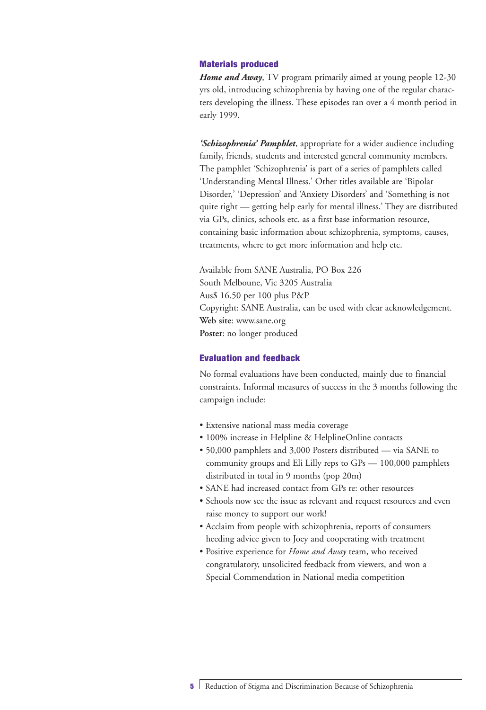### **Materials produced**

*Home and Away*, TV program primarily aimed at young people 12-30 yrs old, introducing schizophrenia by having one of the regular characters developing the illness. These episodes ran over a 4 month period in early 1999.

*'Schizophrenia' Pamphlet*, appropriate for a wider audience including family, friends, students and interested general community members. The pamphlet 'Schizophrenia' is part of a series of pamphlets called 'Understanding Mental Illness.' Other titles available are 'Bipolar Disorder,' 'Depression' and 'Anxiety Disorders' and 'Something is not quite right — getting help early for mental illness.' They are distributed via GPs, clinics, schools etc. as a first base information resource, containing basic information about schizophrenia, symptoms, causes, treatments, where to get more information and help etc.

Available from SANE Australia, PO Box 226 South Melboune, Vic 3205 Australia Aus\$ 16.50 per 100 plus P&P Copyright: SANE Australia, can be used with clear acknowledgement. **Web site**: www.sane.org **Poster**: no longer produced

### **Evaluation and feedback**

No formal evaluations have been conducted, mainly due to financial constraints. Informal measures of success in the 3 months following the campaign include:

- Extensive national mass media coverage
- 100% increase in Helpline & HelplineOnline contacts
- 50,000 pamphlets and 3,000 Posters distributed via SANE to community groups and Eli Lilly reps to GPs — 100,000 pamphlets distributed in total in 9 months (pop 20m)
- SANE had increased contact from GPs re: other resources
- Schools now see the issue as relevant and request resources and even raise money to support our work!
- Acclaim from people with schizophrenia, reports of consumers heeding advice given to Joey and cooperating with treatment
- Positive experience for *Home and Away* team, who received congratulatory, unsolicited feedback from viewers, and won a Special Commendation in National media competition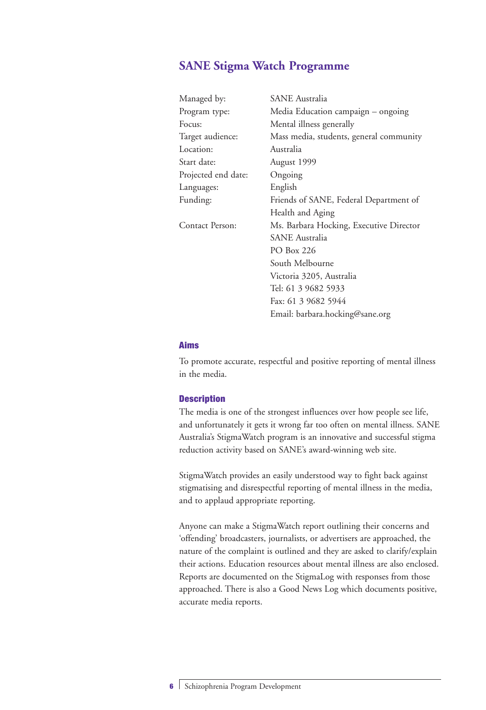# **SANE Stigma Watch Programme**

| <b>SANE Australia</b>                   |
|-----------------------------------------|
| Media Education campaign – ongoing      |
| Mental illness generally                |
| Mass media, students, general community |
| Australia                               |
| August 1999                             |
| Ongoing                                 |
| English                                 |
| Friends of SANE, Federal Department of  |
| Health and Aging                        |
| Ms. Barbara Hocking, Executive Director |
| <b>SANE Australia</b>                   |
| PO Box 226                              |
| South Melbourne                         |
| Victoria 3205, Australia                |
| Tel: 61 3 9682 5933                     |
| Fax: 61 3 9682 5944                     |
| Email: barbara.hocking@sane.org         |
|                                         |

#### **Aims**

To promote accurate, respectful and positive reporting of mental illness in the media.

### **Description**

The media is one of the strongest influences over how people see life, and unfortunately it gets it wrong far too often on mental illness. SANE Australia's StigmaWatch program is an innovative and successful stigma reduction activity based on SANE's award-winning web site.

StigmaWatch provides an easily understood way to fight back against stigmatising and disrespectful reporting of mental illness in the media, and to applaud appropriate reporting.

Anyone can make a StigmaWatch report outlining their concerns and 'offending' broadcasters, journalists, or advertisers are approached, the nature of the complaint is outlined and they are asked to clarify/explain their actions. Education resources about mental illness are also enclosed. Reports are documented on the StigmaLog with responses from those approached. There is also a Good News Log which documents positive, accurate media reports.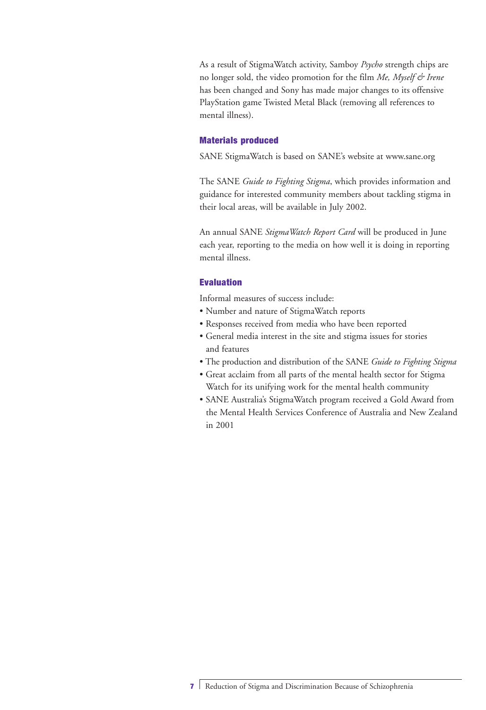As a result of StigmaWatch activity, Samboy *Psycho* strength chips are no longer sold, the video promotion for the film *Me, Myself & Irene* has been changed and Sony has made major changes to its offensive PlayStation game Twisted Metal Black (removing all references to mental illness).

### **Materials produced**

SANE StigmaWatch is based on SANE's website at www.sane.org

The SANE *Guide to Fighting Stigma*, which provides information and guidance for interested community members about tackling stigma in their local areas, will be available in July 2002.

An annual SANE *StigmaWatch Report Card* will be produced in June each year, reporting to the media on how well it is doing in reporting mental illness.

#### **Evaluation**

Informal measures of success include:

- Number and nature of StigmaWatch reports
- Responses received from media who have been reported
- General media interest in the site and stigma issues for stories and features
- The production and distribution of the SANE *Guide to Fighting Stigma*
- Great acclaim from all parts of the mental health sector for Stigma Watch for its unifying work for the mental health community
- SANE Australia's StigmaWatch program received a Gold Award from the Mental Health Services Conference of Australia and New Zealand in 2001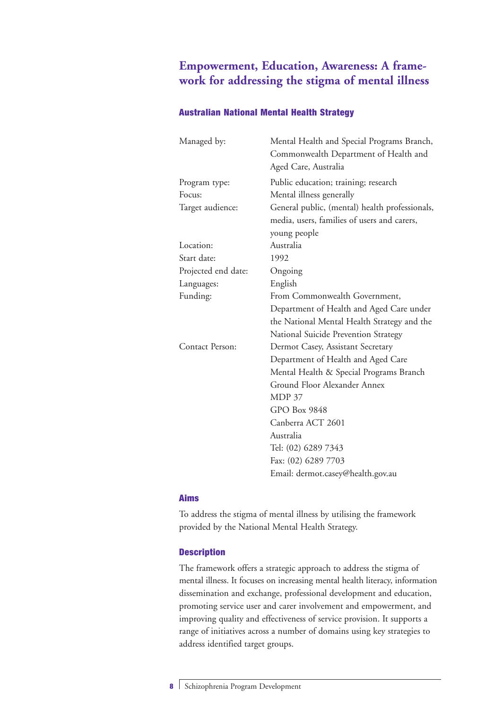# **Empowerment, Education, Awareness: A framework for addressing the stigma of mental illness**

# **Australian National Mental Health Strategy**

| Managed by:         | Mental Health and Special Programs Branch,<br>Commonwealth Department of Health and<br>Aged Care, Australia |
|---------------------|-------------------------------------------------------------------------------------------------------------|
| Program type:       | Public education; training; research                                                                        |
| Focus:              | Mental illness generally                                                                                    |
| Target audience:    | General public, (mental) health professionals,                                                              |
|                     | media, users, families of users and carers,                                                                 |
|                     | young people                                                                                                |
| Location:           | Australia                                                                                                   |
| Start date:         | 1992                                                                                                        |
| Projected end date: | Ongoing                                                                                                     |
| Languages:          | English                                                                                                     |
| Funding:            | From Commonwealth Government,                                                                               |
|                     | Department of Health and Aged Care under                                                                    |
|                     | the National Mental Health Strategy and the                                                                 |
|                     | National Suicide Prevention Strategy                                                                        |
| Contact Person:     | Dermot Casey, Assistant Secretary                                                                           |
|                     | Department of Health and Aged Care                                                                          |
|                     | Mental Health & Special Programs Branch                                                                     |
|                     | Ground Floor Alexander Annex                                                                                |
|                     | MDP 37                                                                                                      |
|                     | <b>GPO Box 9848</b>                                                                                         |
|                     | Canberra ACT 2601                                                                                           |
|                     | Australia                                                                                                   |
|                     | Tel: (02) 6289 7343                                                                                         |
|                     | Fax: (02) 6289 7703                                                                                         |
|                     | Email: dermot.casey@health.gov.au                                                                           |

## **Aims**

To address the stigma of mental illness by utilising the framework provided by the National Mental Health Strategy.

## **Description**

The framework offers a strategic approach to address the stigma of mental illness. It focuses on increasing mental health literacy, information dissemination and exchange, professional development and education, promoting service user and carer involvement and empowerment, and improving quality and effectiveness of service provision. It supports a range of initiatives across a number of domains using key strategies to address identified target groups.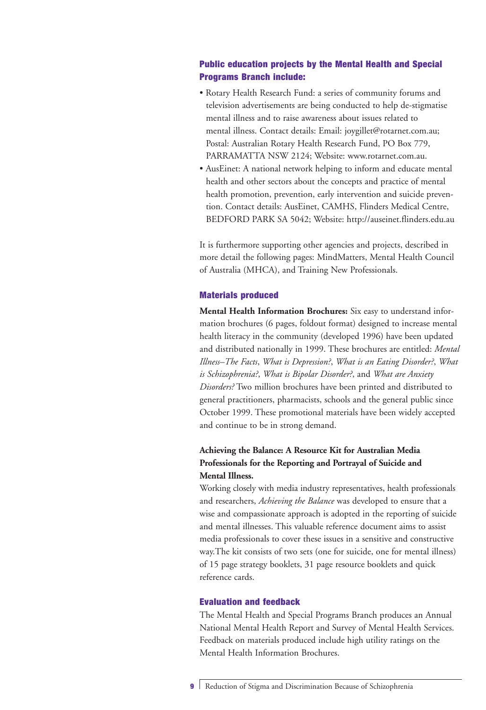# **Public education projects by the Mental Health and Special Programs Branch include:**

- Rotary Health Research Fund: a series of community forums and television advertisements are being conducted to help de-stigmatise mental illness and to raise awareness about issues related to mental illness. Contact details: Email: joygillet@rotarnet.com.au; Postal: Australian Rotary Health Research Fund, PO Box 779, PARRAMATTA NSW 2124; Website: www.rotarnet.com.au.
- AusEinet: A national network helping to inform and educate mental health and other sectors about the concepts and practice of mental health promotion, prevention, early intervention and suicide prevention. Contact details: AusEinet, CAMHS, Flinders Medical Centre, BEDFORD PARK SA 5042; Website: http://auseinet.flinders.edu.au

It is furthermore supporting other agencies and projects, described in more detail the following pages: MindMatters, Mental Health Council of Australia (MHCA), and Training New Professionals.

#### **Materials produced**

**Mental Health Information Brochures:** Six easy to understand information brochures (6 pages, foldout format) designed to increase mental health literacy in the community (developed 1996) have been updated and distributed nationally in 1999. These brochures are entitled: *Mental Illness–The Facts*, *What is Depression?*, *What is an Eating Disorder?*, *What is Schizophrenia?*, *What is Bipolar Disorder?*, and *What are Anxiety Disorders?* Two million brochures have been printed and distributed to general practitioners, pharmacists, schools and the general public since October 1999. These promotional materials have been widely accepted and continue to be in strong demand.

# **Achieving the Balance: A Resource Kit for Australian Media Professionals for the Reporting and Portrayal of Suicide and Mental Illness.**

Working closely with media industry representatives, health professionals and researchers, *Achieving the Balance* was developed to ensure that a wise and compassionate approach is adopted in the reporting of suicide and mental illnesses. This valuable reference document aims to assist media professionals to cover these issues in a sensitive and constructive way.The kit consists of two sets (one for suicide, one for mental illness) of 15 page strategy booklets, 31 page resource booklets and quick reference cards.

#### **Evaluation and feedback**

The Mental Health and Special Programs Branch produces an Annual National Mental Health Report and Survey of Mental Health Services. Feedback on materials produced include high utility ratings on the Mental Health Information Brochures.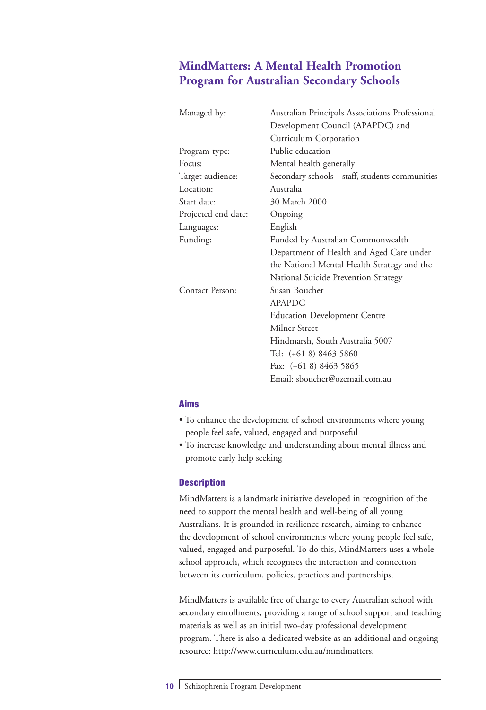# **MindMatters: A Mental Health Promotion Program for Australian Secondary Schools**

| Managed by:         | Australian Principals Associations Professional<br>Development Council (APAPDC) and |
|---------------------|-------------------------------------------------------------------------------------|
|                     | Curriculum Corporation                                                              |
| Program type:       | Public education                                                                    |
| Focus:              | Mental health generally                                                             |
| Target audience:    | Secondary schools-staff, students communities                                       |
| Location:           | Australia                                                                           |
| Start date:         | 30 March 2000                                                                       |
| Projected end date: | Ongoing                                                                             |
| Languages:          | English                                                                             |
| Funding:            | Funded by Australian Commonwealth                                                   |
|                     | Department of Health and Aged Care under                                            |
|                     | the National Mental Health Strategy and the                                         |
|                     | National Suicide Prevention Strategy                                                |
| Contact Person:     | Susan Boucher                                                                       |
|                     | <b>APAPDC</b>                                                                       |
|                     | <b>Education Development Centre</b>                                                 |
|                     | <b>Milner Street</b>                                                                |
|                     | Hindmarsh, South Australia 5007                                                     |
|                     | Tel: (+61 8) 8463 5860                                                              |
|                     | Fax: (+61 8) 8463 5865                                                              |
|                     | Email: sboucher@ozemail.com.au                                                      |

# **Aims**

- To enhance the development of school environments where young people feel safe, valued, engaged and purposeful
- To increase knowledge and understanding about mental illness and promote early help seeking

## **Description**

MindMatters is a landmark initiative developed in recognition of the need to support the mental health and well-being of all young Australians. It is grounded in resilience research, aiming to enhance the development of school environments where young people feel safe, valued, engaged and purposeful. To do this, MindMatters uses a whole school approach, which recognises the interaction and connection between its curriculum, policies, practices and partnerships.

MindMatters is available free of charge to every Australian school with secondary enrollments, providing a range of school support and teaching materials as well as an initial two-day professional development program. There is also a dedicated website as an additional and ongoing resource: http://www.curriculum.edu.au/mindmatters.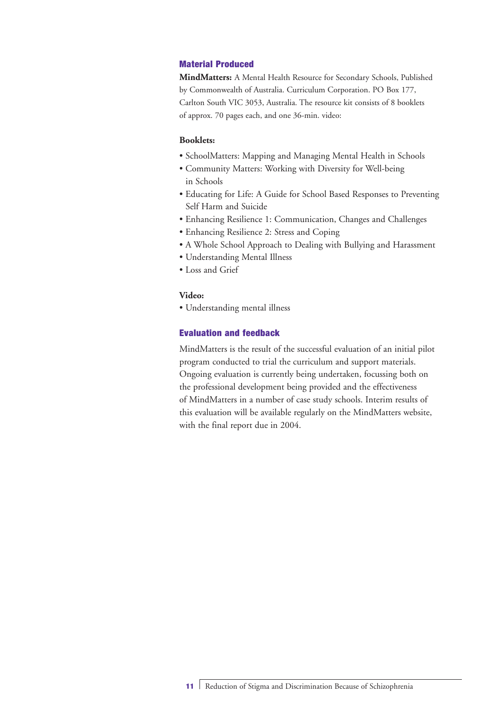## **Material Produced**

**MindMatters:** A Mental Health Resource for Secondary Schools, Published by Commonwealth of Australia. Curriculum Corporation. PO Box 177, Carlton South VIC 3053, Australia. The resource kit consists of 8 booklets of approx. 70 pages each, and one 36-min. video:

## **Booklets:**

- SchoolMatters: Mapping and Managing Mental Health in Schools
- Community Matters: Working with Diversity for Well-being in Schools
- Educating for Life: A Guide for School Based Responses to Preventing Self Harm and Suicide
- Enhancing Resilience 1: Communication, Changes and Challenges
- Enhancing Resilience 2: Stress and Coping
- A Whole School Approach to Dealing with Bullying and Harassment
- Understanding Mental Illness
- Loss and Grief

#### **Video:**

• Understanding mental illness

# **Evaluation and feedback**

MindMatters is the result of the successful evaluation of an initial pilot program conducted to trial the curriculum and support materials. Ongoing evaluation is currently being undertaken, focussing both on the professional development being provided and the effectiveness of MindMatters in a number of case study schools. Interim results of this evaluation will be available regularly on the MindMatters website, with the final report due in 2004.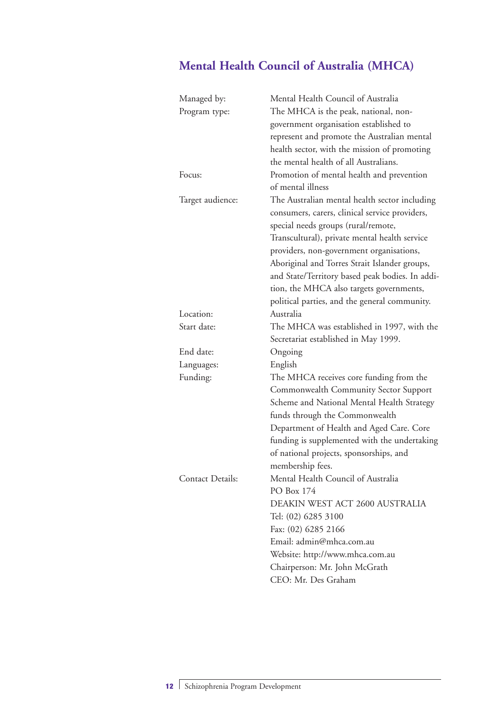# **Mental Health Council of Australia (MHCA)**

| Managed by:             | Mental Health Council of Australia              |
|-------------------------|-------------------------------------------------|
| Program type:           | The MHCA is the peak, national, non-            |
|                         | government organisation established to          |
|                         | represent and promote the Australian mental     |
|                         | health sector, with the mission of promoting    |
|                         | the mental health of all Australians.           |
| Focus:                  | Promotion of mental health and prevention       |
|                         | of mental illness                               |
| Target audience:        | The Australian mental health sector including   |
|                         | consumers, carers, clinical service providers,  |
|                         | special needs groups (rural/remote,             |
|                         | Transcultural), private mental health service   |
|                         | providers, non-government organisations,        |
|                         | Aboriginal and Torres Strait Islander groups,   |
|                         | and State/Territory based peak bodies. In addi- |
|                         | tion, the MHCA also targets governments,        |
|                         | political parties, and the general community.   |
| Location:               | Australia                                       |
| Start date:             | The MHCA was established in 1997, with the      |
|                         | Secretariat established in May 1999.            |
| End date:               | Ongoing                                         |
| Languages:              | English                                         |
| Funding:                | The MHCA receives core funding from the         |
|                         | Commonwealth Community Sector Support           |
|                         | Scheme and National Mental Health Strategy      |
|                         | funds through the Commonwealth                  |
|                         | Department of Health and Aged Care. Core        |
|                         | funding is supplemented with the undertaking    |
|                         | of national projects, sponsorships, and         |
|                         | membership fees.                                |
| <b>Contact Details:</b> | Mental Health Council of Australia              |
|                         | PO Box 174                                      |
|                         | DEAKIN WEST ACT 2600 AUSTRALIA                  |
|                         | Tel: (02) 6285 3100                             |
|                         | Fax: (02) 6285 2166                             |
|                         | Email: admin@mhca.com.au                        |
|                         | Website: http://www.mhca.com.au                 |
|                         | Chairperson: Mr. John McGrath                   |
|                         | CEO: Mr. Des Graham                             |
|                         |                                                 |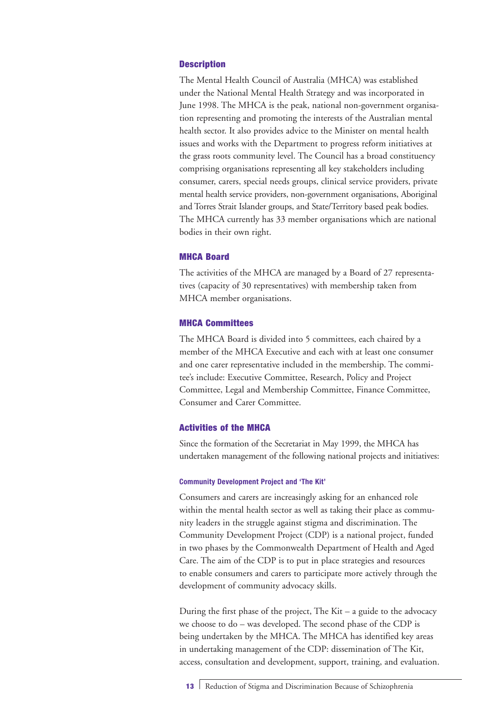#### **Description**

The Mental Health Council of Australia (MHCA) was established under the National Mental Health Strategy and was incorporated in June 1998. The MHCA is the peak, national non-government organisation representing and promoting the interests of the Australian mental health sector. It also provides advice to the Minister on mental health issues and works with the Department to progress reform initiatives at the grass roots community level. The Council has a broad constituency comprising organisations representing all key stakeholders including consumer, carers, special needs groups, clinical service providers, private mental health service providers, non-government organisations, Aboriginal and Torres Strait Islander groups, and State/Territory based peak bodies. The MHCA currently has 33 member organisations which are national bodies in their own right.

#### **MHCA Board**

The activities of the MHCA are managed by a Board of 27 representatives (capacity of 30 representatives) with membership taken from MHCA member organisations.

#### **MHCA Committees**

The MHCA Board is divided into 5 committees, each chaired by a member of the MHCA Executive and each with at least one consumer and one carer representative included in the membership. The commitee's include: Executive Committee, Research, Policy and Project Committee, Legal and Membership Committee, Finance Committee, Consumer and Carer Committee.

#### **Activities of the MHCA**

Since the formation of the Secretariat in May 1999, the MHCA has undertaken management of the following national projects and initiatives:

#### **Community Development Project and 'The Kit'**

Consumers and carers are increasingly asking for an enhanced role within the mental health sector as well as taking their place as community leaders in the struggle against stigma and discrimination. The Community Development Project (CDP) is a national project, funded in two phases by the Commonwealth Department of Health and Aged Care. The aim of the CDP is to put in place strategies and resources to enable consumers and carers to participate more actively through the development of community advocacy skills.

During the first phase of the project, The Kit – a guide to the advocacy we choose to do – was developed. The second phase of the CDP is being undertaken by the MHCA. The MHCA has identified key areas in undertaking management of the CDP: dissemination of The Kit, access, consultation and development, support, training, and evaluation.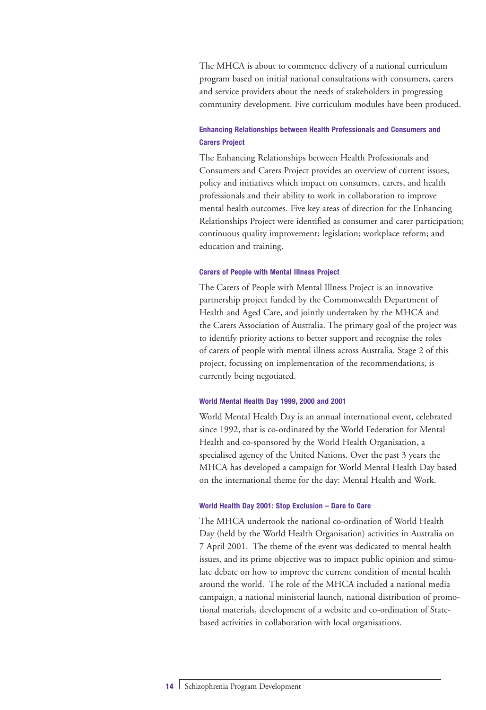The MHCA is about to commence delivery of a national curriculum program based on initial national consultations with consumers, carers and service providers about the needs of stakeholders in progressing community development. Five curriculum modules have been produced.

# **Enhancing Relationships between Health Professionals and Consumers and Carers Project**

The Enhancing Relationships between Health Professionals and Consumers and Carers Project provides an overview of current issues, policy and initiatives which impact on consumers, carers, and health professionals and their ability to work in collaboration to improve mental health outcomes. Five key areas of direction for the Enhancing Relationships Project were identified as consumer and carer participation; continuous quality improvement; legislation; workplace reform; and education and training.

#### **Carers of People with Mental Illness Project**

The Carers of People with Mental Illness Project is an innovative partnership project funded by the Commonwealth Department of Health and Aged Care, and jointly undertaken by the MHCA and the Carers Association of Australia. The primary goal of the project was to identify priority actions to better support and recognise the roles of carers of people with mental illness across Australia. Stage 2 of this project, focussing on implementation of the recommendations, is currently being negotiated.

#### **World Mental Health Day 1999, 2000 and 2001**

World Mental Health Day is an annual international event, celebrated since 1992, that is co-ordinated by the World Federation for Mental Health and co-sponsored by the World Health Organisation, a specialised agency of the United Nations. Over the past 3 years the MHCA has developed a campaign for World Mental Health Day based on the international theme for the day: Mental Health and Work.

#### **World Health Day 2001: Stop Exclusion – Dare to Care**

The MHCA undertook the national co-ordination of World Health Day (held by the World Health Organisation) activities in Australia on 7 April 2001. The theme of the event was dedicated to mental health issues, and its prime objective was to impact public opinion and stimulate debate on how to improve the current condition of mental health around the world. The role of the MHCA included a national media campaign, a national ministerial launch, national distribution of promotional materials, development of a website and co-ordination of Statebased activities in collaboration with local organisations.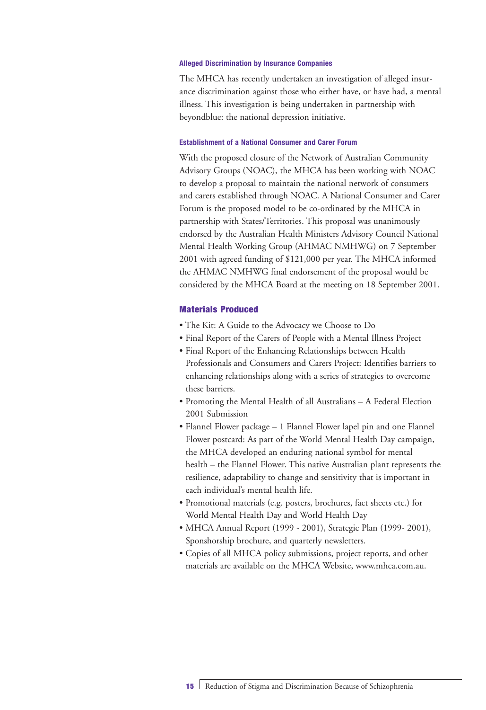#### **Alleged Discrimination by Insurance Companies**

The MHCA has recently undertaken an investigation of alleged insurance discrimination against those who either have, or have had, a mental illness. This investigation is being undertaken in partnership with beyondblue: the national depression initiative.

#### **Establishment of a National Consumer and Carer Forum**

With the proposed closure of the Network of Australian Community Advisory Groups (NOAC), the MHCA has been working with NOAC to develop a proposal to maintain the national network of consumers and carers established through NOAC. A National Consumer and Carer Forum is the proposed model to be co-ordinated by the MHCA in partnership with States/Territories. This proposal was unanimously endorsed by the Australian Health Ministers Advisory Council National Mental Health Working Group (AHMAC NMHWG) on 7 September 2001 with agreed funding of \$121,000 per year. The MHCA informed the AHMAC NMHWG final endorsement of the proposal would be considered by the MHCA Board at the meeting on 18 September 2001.

#### **Materials Produced**

- The Kit: A Guide to the Advocacy we Choose to Do
- Final Report of the Carers of People with a Mental Illness Project
- Final Report of the Enhancing Relationships between Health Professionals and Consumers and Carers Project: Identifies barriers to enhancing relationships along with a series of strategies to overcome these barriers.
- Promoting the Mental Health of all Australians A Federal Election 2001 Submission
- Flannel Flower package 1 Flannel Flower lapel pin and one Flannel Flower postcard: As part of the World Mental Health Day campaign, the MHCA developed an enduring national symbol for mental health – the Flannel Flower. This native Australian plant represents the resilience, adaptability to change and sensitivity that is important in each individual's mental health life.
- Promotional materials (e.g. posters, brochures, fact sheets etc.) for World Mental Health Day and World Health Day
- MHCA Annual Report (1999 2001), Strategic Plan (1999- 2001), Sponshorship brochure, and quarterly newsletters.
- Copies of all MHCA policy submissions, project reports, and other materials are available on the MHCA Website, www.mhca.com.au.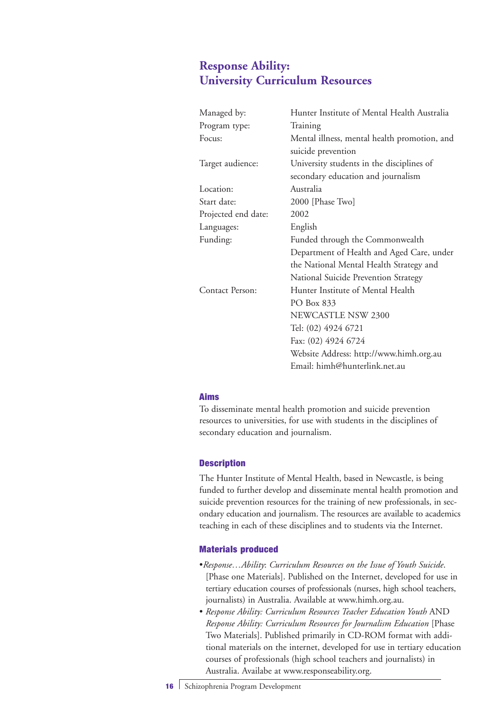# **Response Ability: University Curriculum Resources**

| Managed by:         | Hunter Institute of Mental Health Australia  |
|---------------------|----------------------------------------------|
| Program type:       | Training                                     |
| Focus:              | Mental illness, mental health promotion, and |
|                     | suicide prevention                           |
| Target audience:    | University students in the disciplines of    |
|                     | secondary education and journalism           |
| Location:           | Australia                                    |
| Start date:         | 2000 [Phase Two]                             |
| Projected end date: | 2002                                         |
| Languages:          | English                                      |
| Funding:            | Funded through the Commonwealth              |
|                     | Department of Health and Aged Care, under    |
|                     | the National Mental Health Strategy and      |
|                     | National Suicide Prevention Strategy         |
| Contact Person:     | Hunter Institute of Mental Health            |
|                     | PO Box 833                                   |
|                     | NEWCASTLE NSW 2300                           |
|                     | Tel: (02) 4924 6721                          |
|                     | Fax: (02) 4924 6724                          |
|                     | Website Address: http://www.himh.org.au      |
|                     | Email: himh@hunterlink.net.au                |
|                     |                                              |

## **Aims**

To disseminate mental health promotion and suicide prevention resources to universities, for use with students in the disciplines of secondary education and journalism.

# **Description**

The Hunter Institute of Mental Health, based in Newcastle, is being funded to further develop and disseminate mental health promotion and suicide prevention resources for the training of new professionals, in secondary education and journalism. The resources are available to academics teaching in each of these disciplines and to students via the Internet.

## **Materials produced**

- •*Response…Ability*: *Curriculum Resources on the Issue of Youth Suicide*. [Phase one Materials]. Published on the Internet, developed for use in tertiary education courses of professionals (nurses, high school teachers, journalists) in Australia. Available at www.himh.org.au.
- *Response Ability: Curriculum Resources Teacher Education Youth* AND *Response Ability: Curriculum Resources for Journalism Education* [Phase Two Materials]. Published primarily in CD-ROM format with additional materials on the internet, developed for use in tertiary education courses of professionals (high school teachers and journalists) in Australia. Availabe at www.responseability.org.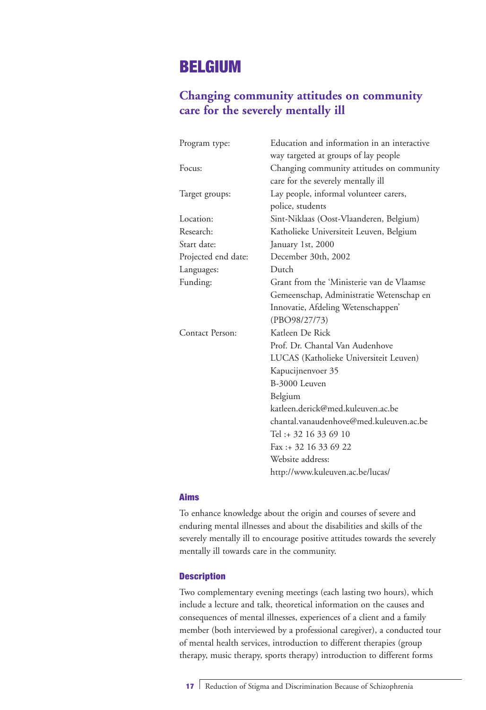# **BELGIUM**

# **Changing community attitudes on community care for the severely mentally ill**

| Program type:       | Education and information in an interactive |
|---------------------|---------------------------------------------|
|                     | way targeted at groups of lay people        |
| Focus:              | Changing community attitudes on community   |
|                     | care for the severely mentally ill          |
| Target groups:      | Lay people, informal volunteer carers,      |
|                     | police, students                            |
| Location:           | Sint-Niklaas (Oost-Vlaanderen, Belgium)     |
| Research:           | Katholieke Universiteit Leuven, Belgium     |
| Start date:         | January 1st, 2000                           |
| Projected end date: | December 30th, 2002                         |
| Languages:          | Dutch                                       |
| Funding:            | Grant from the 'Ministerie van de Vlaamse   |
|                     | Gemeenschap, Administratie Wetenschap en    |
|                     | Innovatie, Afdeling Wetenschappen'          |
|                     | (PBO98/27/73)                               |
| Contact Person:     | Katleen De Rick                             |
|                     | Prof. Dr. Chantal Van Audenhove             |
|                     | LUCAS (Katholieke Universiteit Leuven)      |
|                     | Kapucijnenvoer 35                           |
|                     | B-3000 Leuven                               |
|                     | Belgium                                     |
|                     | katleen.derick@med.kuleuven.ac.be           |
|                     | chantal.vanaudenhove@med.kuleuven.ac.be     |
|                     | Tel: + 32 16 33 69 10                       |
|                     | Fax: + 32 16 33 69 22                       |
|                     | Website address:                            |
|                     | http://www.kuleuven.ac.be/lucas/            |

## **Aims**

To enhance knowledge about the origin and courses of severe and enduring mental illnesses and about the disabilities and skills of the severely mentally ill to encourage positive attitudes towards the severely mentally ill towards care in the community.

# **Description**

Two complementary evening meetings (each lasting two hours), which include a lecture and talk, theoretical information on the causes and consequences of mental illnesses, experiences of a client and a family member (both interviewed by a professional caregiver), a conducted tour of mental health services, introduction to different therapies (group therapy, music therapy, sports therapy) introduction to different forms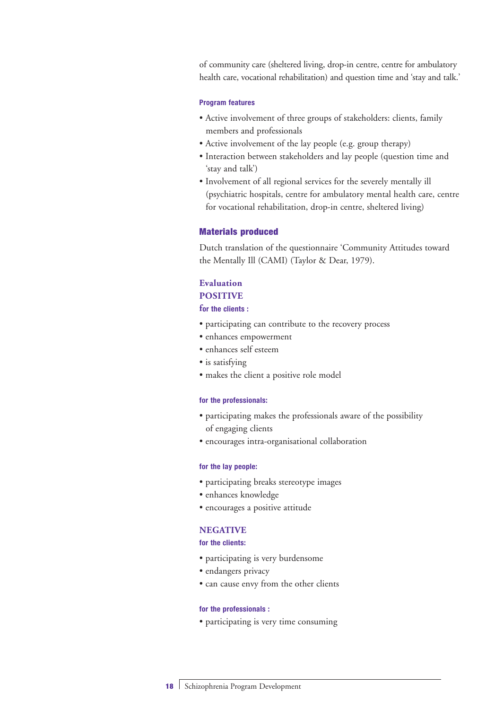of community care (sheltered living, drop-in centre, centre for ambulatory health care, vocational rehabilitation) and question time and 'stay and talk.'

#### **Program features**

- Active involvement of three groups of stakeholders: clients, family members and professionals
- Active involvement of the lay people (e.g. group therapy)
- Interaction between stakeholders and lay people (question time and 'stay and talk')
- Involvement of all regional services for the severely mentally ill (psychiatric hospitals, centre for ambulatory mental health care, centre for vocational rehabilitation, drop-in centre, sheltered living)

### **Materials produced**

Dutch translation of the questionnaire 'Community Attitudes toward the Mentally Ill (CAMI) (Taylor & Dear, 1979).

# **Evaluation**

# **POSITIVE**

# **for the clients :**

- participating can contribute to the recovery process
- enhances empowerment
- enhances self esteem
- is satisfying
- makes the client a positive role model

#### **for the professionals:**

- participating makes the professionals aware of the possibility of engaging clients
- encourages intra-organisational collaboration

#### **for the lay people:**

- participating breaks stereotype images
- enhances knowledge
- encourages a positive attitude

#### **NEGATIVE**

#### **for the clients:**

- participating is very burdensome
- endangers privacy
- can cause envy from the other clients

#### **for the professionals :**

• participating is very time consuming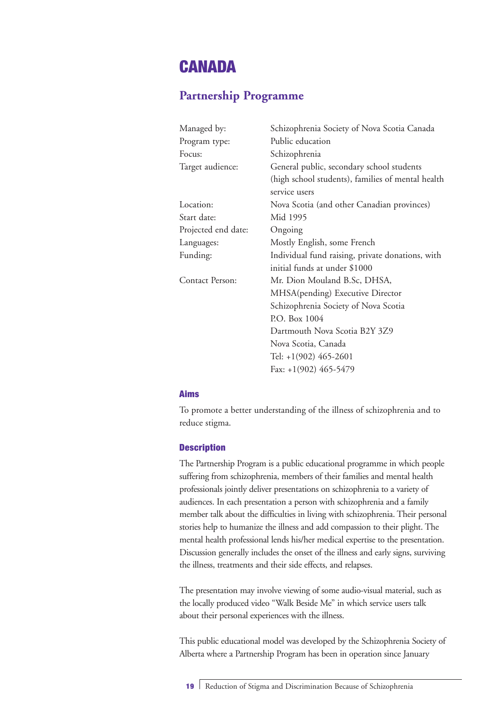# **CANADA**

# **Partnership Programme**

| Managed by:         | Schizophrenia Society of Nova Scotia Canada       |
|---------------------|---------------------------------------------------|
| Program type:       | Public education                                  |
| Focus:              | Schizophrenia                                     |
| Target audience:    | General public, secondary school students         |
|                     | (high school students), families of mental health |
|                     | service users                                     |
| Location:           | Nova Scotia (and other Canadian provinces)        |
| Start date:         | Mid 1995                                          |
| Projected end date: | Ongoing                                           |
| Languages:          | Mostly English, some French                       |
| Funding:            | Individual fund raising, private donations, with  |
|                     | initial funds at under \$1000                     |
| Contact Person:     | Mr. Dion Mouland B.Sc, DHSA,                      |
|                     | MHSA(pending) Executive Director                  |
|                     | Schizophrenia Society of Nova Scotia              |
|                     | P.O. Box 1004                                     |
|                     | Dartmouth Nova Scotia B2Y 3Z9                     |
|                     | Nova Scotia, Canada                               |
|                     | Tel: $+1(902)$ 465-2601                           |
|                     | Fax: $+1(902)$ 465-5479                           |
|                     |                                                   |

#### **Aims**

To promote a better understanding of the illness of schizophrenia and to reduce stigma.

# **Description**

The Partnership Program is a public educational programme in which people suffering from schizophrenia, members of their families and mental health professionals jointly deliver presentations on schizophrenia to a variety of audiences. In each presentation a person with schizophrenia and a family member talk about the difficulties in living with schizophrenia. Their personal stories help to humanize the illness and add compassion to their plight. The mental health professional lends his/her medical expertise to the presentation. Discussion generally includes the onset of the illness and early signs, surviving the illness, treatments and their side effects, and relapses.

The presentation may involve viewing of some audio-visual material, such as the locally produced video "Walk Beside Me" in which service users talk about their personal experiences with the illness.

This public educational model was developed by the Schizophrenia Society of Alberta where a Partnership Program has been in operation since January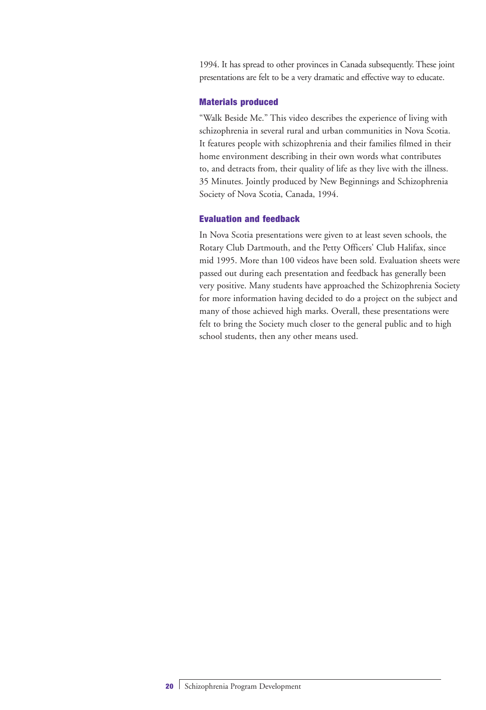1994. It has spread to other provinces in Canada subsequently. These joint presentations are felt to be a very dramatic and effective way to educate.

#### **Materials produced**

"Walk Beside Me." This video describes the experience of living with schizophrenia in several rural and urban communities in Nova Scotia. It features people with schizophrenia and their families filmed in their home environment describing in their own words what contributes to, and detracts from, their quality of life as they live with the illness. 35 Minutes. Jointly produced by New Beginnings and Schizophrenia Society of Nova Scotia, Canada, 1994.

## **Evaluation and feedback**

In Nova Scotia presentations were given to at least seven schools, the Rotary Club Dartmouth, and the Petty Officers' Club Halifax, since mid 1995. More than 100 videos have been sold. Evaluation sheets were passed out during each presentation and feedback has generally been very positive. Many students have approached the Schizophrenia Society for more information having decided to do a project on the subject and many of those achieved high marks. Overall, these presentations were felt to bring the Society much closer to the general public and to high school students, then any other means used.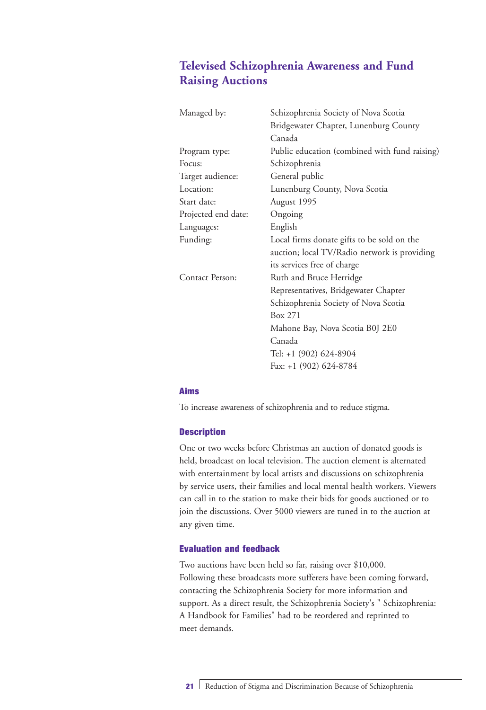# **Televised Schizophrenia Awareness and Fund Raising Auctions**

| Managed by:         | Schizophrenia Society of Nova Scotia          |
|---------------------|-----------------------------------------------|
|                     | Bridgewater Chapter, Lunenburg County         |
|                     | Canada                                        |
| Program type:       | Public education (combined with fund raising) |
| Focus:              | Schizophrenia                                 |
| Target audience:    | General public                                |
| Location:           | Lunenburg County, Nova Scotia                 |
| Start date:         | August 1995                                   |
| Projected end date: | Ongoing                                       |
| Languages:          | English                                       |
| Funding:            | Local firms donate gifts to be sold on the    |
|                     | auction; local TV/Radio network is providing  |
|                     | its services free of charge                   |
| Contact Person:     | Ruth and Bruce Herridge                       |
|                     | Representatives, Bridgewater Chapter          |
|                     | Schizophrenia Society of Nova Scotia          |
|                     | Box 271                                       |
|                     | Mahone Bay, Nova Scotia B0J 2E0               |
|                     | Canada                                        |
|                     | Tel: +1 (902) 624-8904                        |
|                     | Fax: +1 (902) 624-8784                        |
|                     |                                               |

## **Aims**

To increase awareness of schizophrenia and to reduce stigma.

## **Description**

One or two weeks before Christmas an auction of donated goods is held, broadcast on local television. The auction element is alternated with entertainment by local artists and discussions on schizophrenia by service users, their families and local mental health workers. Viewers can call in to the station to make their bids for goods auctioned or to join the discussions. Over 5000 viewers are tuned in to the auction at any given time.

### **Evaluation and feedback**

Two auctions have been held so far, raising over \$10,000. Following these broadcasts more sufferers have been coming forward, contacting the Schizophrenia Society for more information and support. As a direct result, the Schizophrenia Society's " Schizophrenia: A Handbook for Families" had to be reordered and reprinted to meet demands.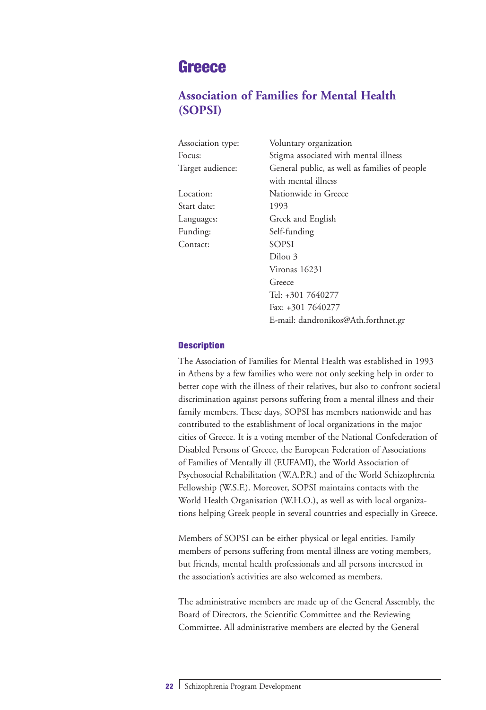# **Greece**

# **Association of Families for Mental Health (SOPSI)**

| Association type: | Voluntary organization                        |
|-------------------|-----------------------------------------------|
| Focus:            | Stigma associated with mental illness         |
| Target audience:  | General public, as well as families of people |
|                   | with mental illness                           |
| Location:         | Nationwide in Greece                          |
| Start date:       | 1993                                          |
| Languages:        | Greek and English                             |
| Funding:          | Self-funding                                  |
| Contact:          | <b>SOPSI</b>                                  |
|                   | Dilou 3                                       |
|                   | Vironas 16231                                 |
|                   | Greece                                        |
|                   | Tel: +301 7640277                             |
|                   | Fax: +301 7640277                             |
|                   | E-mail: dandronikos@Ath.forthnet.gr           |

### **Description**

The Association of Families for Mental Health was established in 1993 in Athens by a few families who were not only seeking help in order to better cope with the illness of their relatives, but also to confront societal discrimination against persons suffering from a mental illness and their family members. These days, SOPSI has members nationwide and has contributed to the establishment of local organizations in the major cities of Greece. It is a voting member of the National Confederation of Disabled Persons of Greece, the European Federation of Associations of Families of Mentally ill (EUFAMI), the World Association of Psychosocial Rehabilitation (W.A.P.R.) and of the World Schizophrenia Fellowship (W.S.F.). Moreover, SOPSI maintains contacts with the World Health Organisation (W.H.O.), as well as with local organizations helping Greek people in several countries and especially in Greece.

Members of SOPSI can be either physical or legal entities. Family members of persons suffering from mental illness are voting members, but friends, mental health professionals and all persons interested in the association's activities are also welcomed as members.

The administrative members are made up of the General Assembly, the Board of Directors, the Scientific Committee and the Reviewing Committee. All administrative members are elected by the General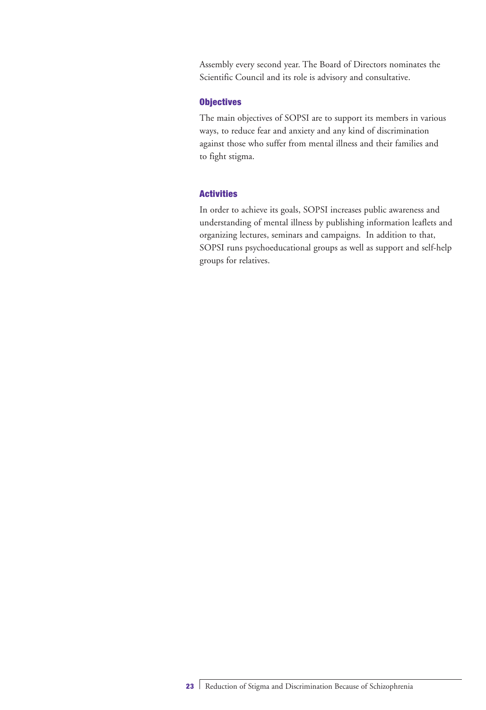Assembly every second year. The Board of Directors nominates the Scientific Council and its role is advisory and consultative.

### **Objectives**

The main objectives of SOPSI are to support its members in various ways, to reduce fear and anxiety and any kind of discrimination against those who suffer from mental illness and their families and to fight stigma.

#### **Activities**

In order to achieve its goals, SOPSI increases public awareness and understanding of mental illness by publishing information leaflets and organizing lectures, seminars and campaigns. In addition to that, SOPSI runs psychoeducational groups as well as support and self-help groups for relatives.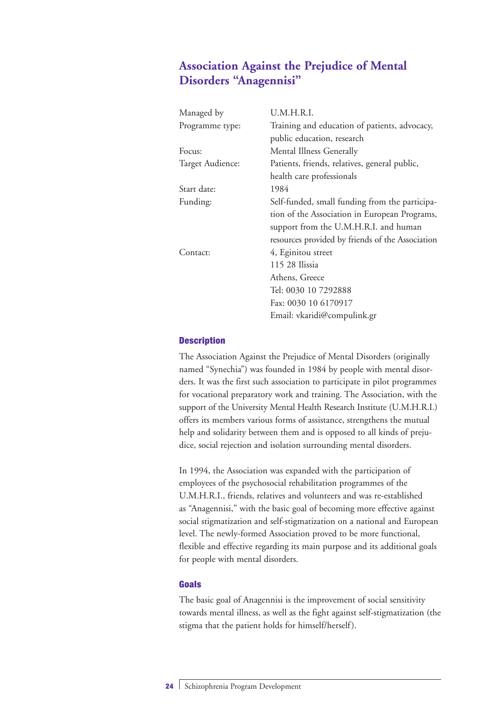# **Association Against the Prejudice of Mental Disorders "Anagennisi"**

| Managed by       | U.M.H.R.I.                                       |
|------------------|--------------------------------------------------|
| Programme type:  | Training and education of patients, advocacy,    |
|                  | public education, research                       |
| Focus:           | Mental Illness Generally                         |
| Target Audience: | Patients, friends, relatives, general public,    |
|                  | health care professionals                        |
| Start date:      | 1984                                             |
| Funding:         | Self-funded, small funding from the participa-   |
|                  | tion of the Association in European Programs,    |
|                  | support from the U.M.H.R.I. and human            |
|                  | resources provided by friends of the Association |
| Contact:         | 4, Eginitou street                               |
|                  | 115 28 Ilissia                                   |
|                  | Athens, Greece                                   |
|                  | Tel: 0030 10 7292888                             |
|                  | Fax: 0030 10 6170917                             |
|                  | Email: vkaridi@compulink.gr                      |
|                  |                                                  |

## **Description**

The Association Against the Prejudice of Mental Disorders (originally named "Synechia") was founded in 1984 by people with mental disorders. It was the first such association to participate in pilot programmes for vocational preparatory work and training. The Association, with the support of the University Mental Health Research Institute (U.M.H.R.I.) offers its members various forms of assistance, strengthens the mutual help and solidarity between them and is opposed to all kinds of prejudice, social rejection and isolation surrounding mental disorders.

In 1994, the Association was expanded with the participation of employees of the psychosocial rehabilitation programmes of the U.M.H.R.I., friends, relatives and volunteers and was re-established as "Anagennisi," with the basic goal of becoming more effective against social stigmatization and self-stigmatization on a national and European level. The newly-formed Association proved to be more functional, flexible and effective regarding its main purpose and its additional goals for people with mental disorders.

## **Goals**

The basic goal of Anagennisi is the improvement of social sensitivity towards mental illness, as well as the fight against self-stigmatization (the stigma that the patient holds for himself/herself).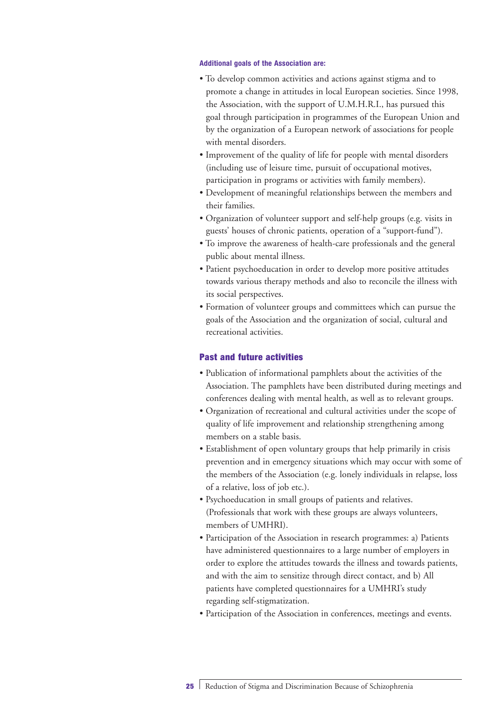#### **Additional goals of the Association are:**

- To develop common activities and actions against stigma and to promote a change in attitudes in local European societies. Since 1998, the Association, with the support of U.M.H.R.I., has pursued this goal through participation in programmes of the European Union and by the organization of a European network of associations for people with mental disorders.
- Improvement of the quality of life for people with mental disorders (including use of leisure time, pursuit of occupational motives, participation in programs or activities with family members).
- Development of meaningful relationships between the members and their families.
- Organization of volunteer support and self-help groups (e.g. visits in guests' houses of chronic patients, operation of a "support-fund").
- To improve the awareness of health-care professionals and the general public about mental illness.
- Patient psychoeducation in order to develop more positive attitudes towards various therapy methods and also to reconcile the illness with its social perspectives.
- Formation of volunteer groups and committees which can pursue the goals of the Association and the organization of social, cultural and recreational activities.

#### **Past and future activities**

- Publication of informational pamphlets about the activities of the Association. The pamphlets have been distributed during meetings and conferences dealing with mental health, as well as to relevant groups.
- Organization of recreational and cultural activities under the scope of quality of life improvement and relationship strengthening among members on a stable basis.
- Establishment of open voluntary groups that help primarily in crisis prevention and in emergency situations which may occur with some of the members of the Association (e.g. lonely individuals in relapse, loss of a relative, loss of job etc.).
- Psychoeducation in small groups of patients and relatives. (Professionals that work with these groups are always volunteers, members of UMHRI).
- Participation of the Association in research programmes: a) Patients have administered questionnaires to a large number of employers in order to explore the attitudes towards the illness and towards patients, and with the aim to sensitize through direct contact, and b) All patients have completed questionnaires for a UMHRI's study regarding self-stigmatization.
- Participation of the Association in conferences, meetings and events.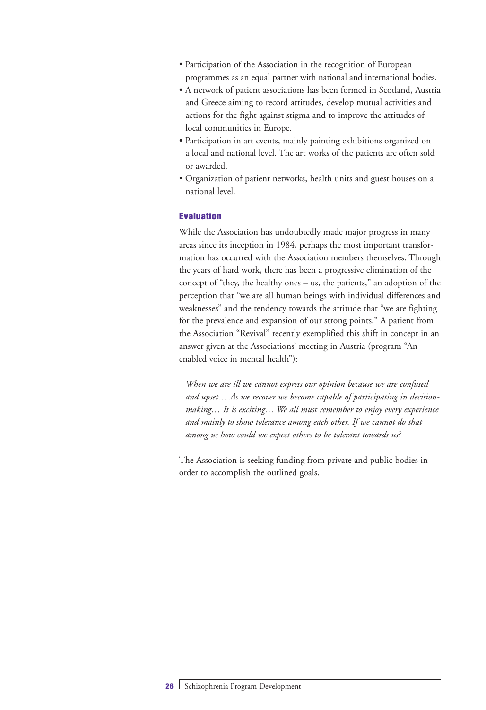- Participation of the Association in the recognition of European programmes as an equal partner with national and international bodies.
- A network of patient associations has been formed in Scotland, Austria and Greece aiming to record attitudes, develop mutual activities and actions for the fight against stigma and to improve the attitudes of local communities in Europe.
- Participation in art events, mainly painting exhibitions organized on a local and national level. The art works of the patients are often sold or awarded.
- Organization of patient networks, health units and guest houses on a national level.

# **Evaluation**

While the Association has undoubtedly made major progress in many areas since its inception in 1984, perhaps the most important transformation has occurred with the Association members themselves. Through the years of hard work, there has been a progressive elimination of the concept of "they, the healthy ones – us, the patients," an adoption of the perception that "we are all human beings with individual differences and weaknesses" and the tendency towards the attitude that "we are fighting for the prevalence and expansion of our strong points." A patient from the Association "Revival" recently exemplified this shift in concept in an answer given at the Associations' meeting in Austria (program "An enabled voice in mental health"):

*When we are ill we cannot express our opinion because we are confused and upset… As we recover we become capable of participating in decisionmaking… It is exciting… We all must remember to enjoy every experience and mainly to show tolerance among each other. If we cannot do that among us how could we expect others to be tolerant towards us?*

The Association is seeking funding from private and public bodies in order to accomplish the outlined goals.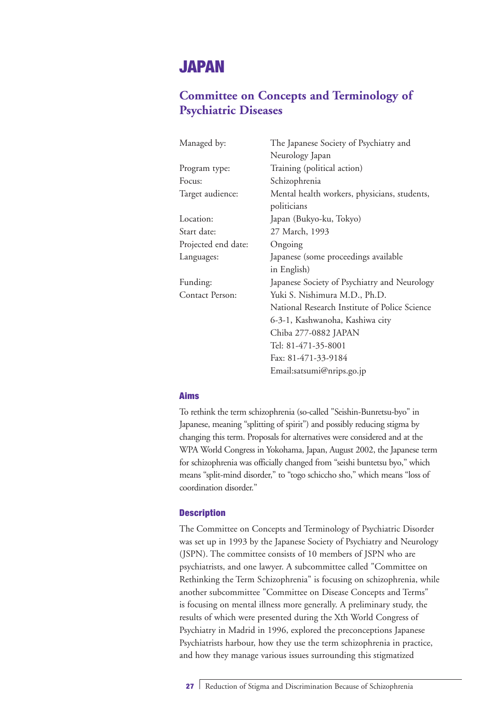# **JAPAN**

# **Committee on Concepts and Terminology of Psychiatric Diseases**

| Managed by:         | The Japanese Society of Psychiatry and                      |
|---------------------|-------------------------------------------------------------|
|                     | Neurology Japan                                             |
| Program type:       | Training (political action)                                 |
| Focus:              | Schizophrenia                                               |
| Target audience:    | Mental health workers, physicians, students,<br>politicians |
| Location:           | Japan (Bukyo-ku, Tokyo)                                     |
| Start date:         | 27 March, 1993                                              |
| Projected end date: | Ongoing                                                     |
| Languages:          | Japanese (some proceedings available                        |
|                     | in English)                                                 |
| Funding:            | Japanese Society of Psychiatry and Neurology                |
| Contact Person:     | Yuki S. Nishimura M.D., Ph.D.                               |
|                     | National Research Institute of Police Science               |
|                     | 6-3-1, Kashwanoha, Kashiwa city                             |
|                     | Chiba 277-0882 JAPAN                                        |
|                     | Tel: 81-471-35-8001                                         |
|                     | Fax: 81-471-33-9184                                         |
|                     | Email:satsumi@nrips.go.jp                                   |

## **Aims**

To rethink the term schizophrenia (so-called "Seishin-Bunretsu-byo" in Japanese, meaning "splitting of spirit") and possibly reducing stigma by changing this term. Proposals for alternatives were considered and at the WPA World Congress in Yokohama, Japan, August 2002, the Japanese term for schizophrenia was officially changed from "seishi buntetsu byo," which means "split-mind disorder," to "togo schiccho sho," which means "loss of coordination disorder."

#### **Description**

The Committee on Concepts and Terminology of Psychiatric Disorder was set up in 1993 by the Japanese Society of Psychiatry and Neurology (JSPN). The committee consists of 10 members of JSPN who are psychiatrists, and one lawyer. A subcommittee called "Committee on Rethinking the Term Schizophrenia" is focusing on schizophrenia, while another subcommittee "Committee on Disease Concepts and Terms" is focusing on mental illness more generally. A preliminary study, the results of which were presented during the Xth World Congress of Psychiatry in Madrid in 1996, explored the preconceptions Japanese Psychiatrists harbour, how they use the term schizophrenia in practice, and how they manage various issues surrounding this stigmatized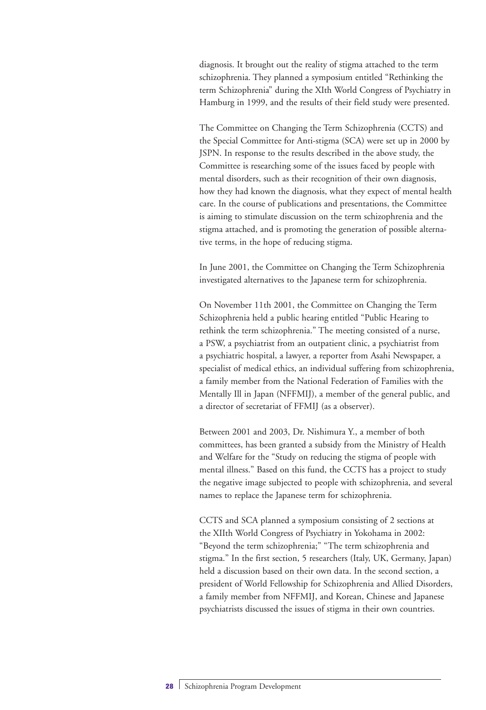diagnosis. It brought out the reality of stigma attached to the term schizophrenia. They planned a symposium entitled "Rethinking the term Schizophrenia" during the XIth World Congress of Psychiatry in Hamburg in 1999, and the results of their field study were presented.

The Committee on Changing the Term Schizophrenia (CCTS) and the Special Committee for Anti-stigma (SCA) were set up in 2000 by JSPN. In response to the results described in the above study, the Committee is researching some of the issues faced by people with mental disorders, such as their recognition of their own diagnosis, how they had known the diagnosis, what they expect of mental health care. In the course of publications and presentations, the Committee is aiming to stimulate discussion on the term schizophrenia and the stigma attached, and is promoting the generation of possible alternative terms, in the hope of reducing stigma.

In June 2001, the Committee on Changing the Term Schizophrenia investigated alternatives to the Japanese term for schizophrenia.

On November 11th 2001, the Committee on Changing the Term Schizophrenia held a public hearing entitled "Public Hearing to rethink the term schizophrenia." The meeting consisted of a nurse, a PSW, a psychiatrist from an outpatient clinic, a psychiatrist from a psychiatric hospital, a lawyer, a reporter from Asahi Newspaper, a specialist of medical ethics, an individual suffering from schizophrenia, a family member from the National Federation of Families with the Mentally Ill in Japan (NFFMIJ), a member of the general public, and a director of secretariat of FFMIJ (as a observer).

Between 2001 and 2003, Dr. Nishimura Y., a member of both committees, has been granted a subsidy from the Ministry of Health and Welfare for the "Study on reducing the stigma of people with mental illness." Based on this fund, the CCTS has a project to study the negative image subjected to people with schizophrenia, and several names to replace the Japanese term for schizophrenia.

CCTS and SCA planned a symposium consisting of 2 sections at the XIIth World Congress of Psychiatry in Yokohama in 2002: "Beyond the term schizophrenia;" "The term schizophrenia and stigma." In the first section, 5 researchers (Italy, UK, Germany, Japan) held a discussion based on their own data. In the second section, a president of World Fellowship for Schizophrenia and Allied Disorders, a family member from NFFMIJ, and Korean, Chinese and Japanese psychiatrists discussed the issues of stigma in their own countries.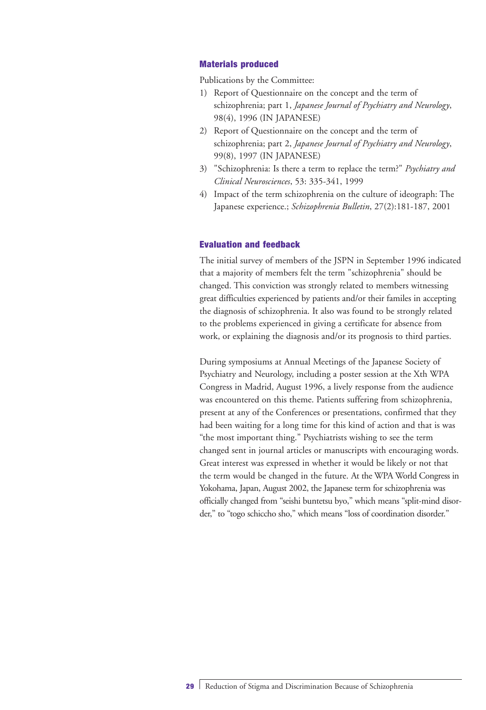#### **Materials produced**

Publications by the Committee:

- 1) Report of Questionnaire on the concept and the term of schizophrenia; part 1, *Japanese Journal of Psychiatry and Neurology*, 98(4), 1996 (IN JAPANESE)
- 2) Report of Questionnaire on the concept and the term of schizophrenia; part 2, *Japanese Journal of Psychiatry and Neurology*, 99(8), 1997 (IN JAPANESE)
- 3) "Schizophrenia: Is there a term to replace the term?" *Psychiatry and Clinical Neurosciences*, 53: 335-341, 1999
- 4) Impact of the term schizophrenia on the culture of ideograph: The Japanese experience.; *Schizophrenia Bulletin*, 27(2):181-187, 2001

## **Evaluation and feedback**

The initial survey of members of the JSPN in September 1996 indicated that a majority of members felt the term "schizophrenia" should be changed. This conviction was strongly related to members witnessing great difficulties experienced by patients and/or their familes in accepting the diagnosis of schizophrenia. It also was found to be strongly related to the problems experienced in giving a certificate for absence from work, or explaining the diagnosis and/or its prognosis to third parties.

During symposiums at Annual Meetings of the Japanese Society of Psychiatry and Neurology, including a poster session at the Xth WPA Congress in Madrid, August 1996, a lively response from the audience was encountered on this theme. Patients suffering from schizophrenia, present at any of the Conferences or presentations, confirmed that they had been waiting for a long time for this kind of action and that is was "the most important thing." Psychiatrists wishing to see the term changed sent in journal articles or manuscripts with encouraging words. Great interest was expressed in whether it would be likely or not that the term would be changed in the future. At the WPA World Congress in Yokohama, Japan, August 2002, the Japanese term for schizophrenia was officially changed from "seishi buntetsu byo," which means "split-mind disorder," to "togo schiccho sho," which means "loss of coordination disorder."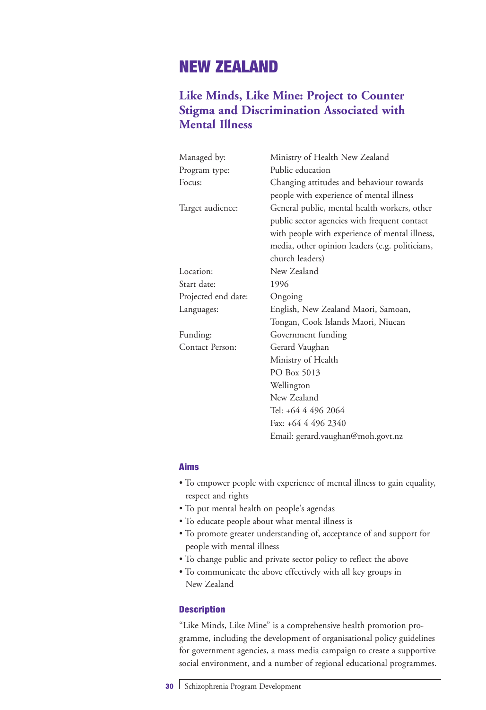# **NEW ZEALAND**

# **Like Minds, Like Mine: Project to Counter Stigma and Discrimination Associated with Mental Illness**

| Managed by:         | Ministry of Health New Zealand                                                                                                                                                                                       |
|---------------------|----------------------------------------------------------------------------------------------------------------------------------------------------------------------------------------------------------------------|
| Program type:       | Public education                                                                                                                                                                                                     |
| Focus:              | Changing attitudes and behaviour towards<br>people with experience of mental illness                                                                                                                                 |
| Target audience:    | General public, mental health workers, other<br>public sector agencies with frequent contact<br>with people with experience of mental illness,<br>media, other opinion leaders (e.g. politicians,<br>church leaders) |
| Location:           | New Zealand                                                                                                                                                                                                          |
| Start date:         | 1996                                                                                                                                                                                                                 |
| Projected end date: | Ongoing                                                                                                                                                                                                              |
| Languages:          | English, New Zealand Maori, Samoan,                                                                                                                                                                                  |
|                     | Tongan, Cook Islands Maori, Niuean                                                                                                                                                                                   |
| Funding:            | Government funding                                                                                                                                                                                                   |
| Contact Person:     | Gerard Vaughan                                                                                                                                                                                                       |
|                     | Ministry of Health                                                                                                                                                                                                   |
|                     | PO Box 5013                                                                                                                                                                                                          |
|                     | Wellington                                                                                                                                                                                                           |
|                     | New Zealand                                                                                                                                                                                                          |
|                     | Tel: +64 4 496 2064                                                                                                                                                                                                  |
|                     | Fax: +64 4 496 2340                                                                                                                                                                                                  |
|                     | Email: gerard.vaughan@moh.govt.nz                                                                                                                                                                                    |

#### **Aims**

- To empower people with experience of mental illness to gain equality, respect and rights
- To put mental health on people's agendas
- To educate people about what mental illness is
- To promote greater understanding of, acceptance of and support for people with mental illness
- To change public and private sector policy to reflect the above
- To communicate the above effectively with all key groups in New Zealand

## **Description**

"Like Minds, Like Mine" is a comprehensive health promotion programme, including the development of organisational policy guidelines for government agencies, a mass media campaign to create a supportive social environment, and a number of regional educational programmes.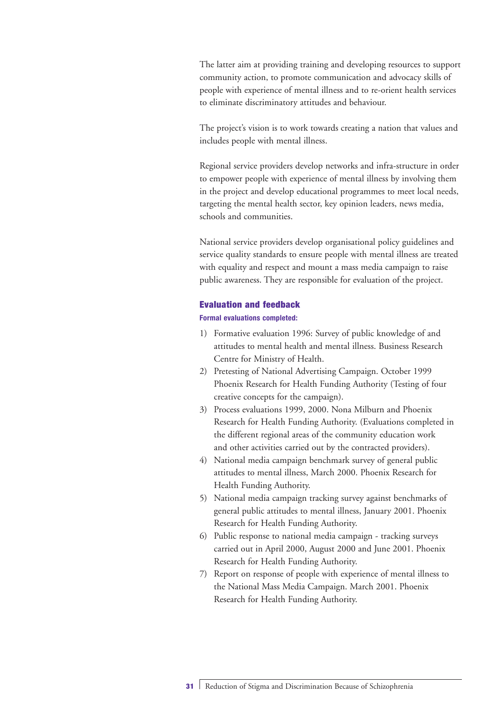The latter aim at providing training and developing resources to support community action, to promote communication and advocacy skills of people with experience of mental illness and to re-orient health services to eliminate discriminatory attitudes and behaviour.

The project's vision is to work towards creating a nation that values and includes people with mental illness.

Regional service providers develop networks and infra-structure in order to empower people with experience of mental illness by involving them in the project and develop educational programmes to meet local needs, targeting the mental health sector, key opinion leaders, news media, schools and communities.

National service providers develop organisational policy guidelines and service quality standards to ensure people with mental illness are treated with equality and respect and mount a mass media campaign to raise public awareness. They are responsible for evaluation of the project.

#### **Evaluation and feedback**

**Formal evaluations completed:**

- 1) Formative evaluation 1996: Survey of public knowledge of and attitudes to mental health and mental illness. Business Research Centre for Ministry of Health.
- 2) Pretesting of National Advertising Campaign. October 1999 Phoenix Research for Health Funding Authority (Testing of four creative concepts for the campaign).
- 3) Process evaluations 1999, 2000. Nona Milburn and Phoenix Research for Health Funding Authority. (Evaluations completed in the different regional areas of the community education work and other activities carried out by the contracted providers).
- 4) National media campaign benchmark survey of general public attitudes to mental illness, March 2000. Phoenix Research for Health Funding Authority.
- 5) National media campaign tracking survey against benchmarks of general public attitudes to mental illness, January 2001. Phoenix Research for Health Funding Authority.
- 6) Public response to national media campaign tracking surveys carried out in April 2000, August 2000 and June 2001. Phoenix Research for Health Funding Authority.
- 7) Report on response of people with experience of mental illness to the National Mass Media Campaign. March 2001. Phoenix Research for Health Funding Authority.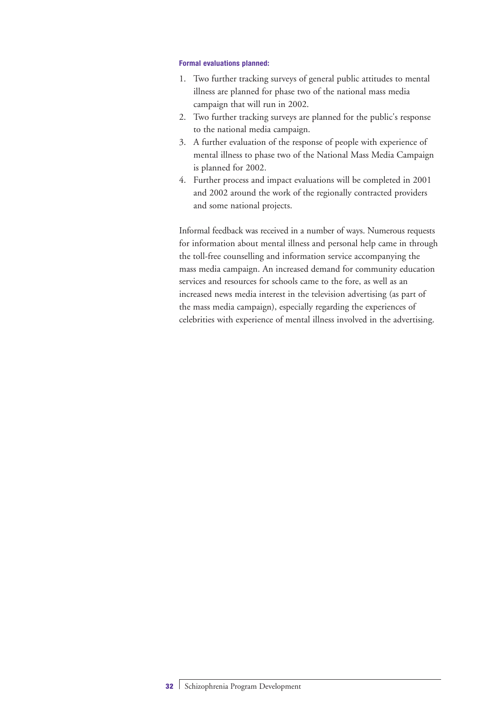#### **Formal evaluations planned:**

- 1. Two further tracking surveys of general public attitudes to mental illness are planned for phase two of the national mass media campaign that will run in 2002.
- 2. Two further tracking surveys are planned for the public's response to the national media campaign.
- 3. A further evaluation of the response of people with experience of mental illness to phase two of the National Mass Media Campaign is planned for 2002.
- 4. Further process and impact evaluations will be completed in 2001 and 2002 around the work of the regionally contracted providers and some national projects.

Informal feedback was received in a number of ways. Numerous requests for information about mental illness and personal help came in through the toll-free counselling and information service accompanying the mass media campaign. An increased demand for community education services and resources for schools came to the fore, as well as an increased news media interest in the television advertising (as part of the mass media campaign), especially regarding the experiences of celebrities with experience of mental illness involved in the advertising.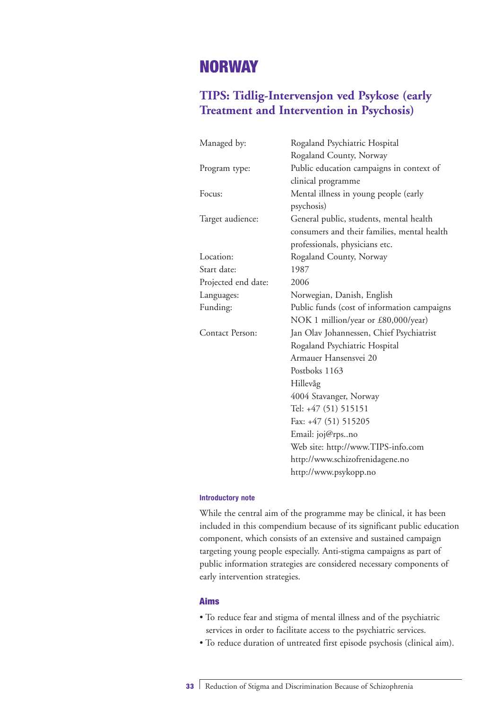# **NORWAY**

# **TIPS: Tidlig-Intervensjon ved Psykose (early Treatment and Intervention in Psychosis)**

| Managed by:         | Rogaland Psychiatric Hospital               |
|---------------------|---------------------------------------------|
|                     | Rogaland County, Norway                     |
| Program type:       | Public education campaigns in context of    |
|                     | clinical programme                          |
| Focus:              | Mental illness in young people (early       |
|                     | psychosis)                                  |
| Target audience:    | General public, students, mental health     |
|                     | consumers and their families, mental health |
|                     | professionals, physicians etc.              |
| Location:           | Rogaland County, Norway                     |
| Start date:         | 1987                                        |
| Projected end date: | 2006                                        |
| Languages:          | Norwegian, Danish, English                  |
| Funding:            | Public funds (cost of information campaigns |
|                     | NOK 1 million/year or £80,000/year)         |
| Contact Person:     | Jan Olav Johannessen, Chief Psychiatrist    |
|                     | Rogaland Psychiatric Hospital               |
|                     | Armauer Hansensvei 20                       |
|                     | Postboks 1163                               |
|                     | Hillevåg                                    |
|                     | 4004 Stavanger, Norway                      |
|                     | Tel: +47 (51) 515151                        |
|                     | Fax: +47 (51) 515205                        |
|                     | Email: joj@rpsno                            |
|                     | Web site: http://www.TIPS-info.com          |
|                     | http://www.schizofrenidagene.no             |
|                     | http://www.psykopp.no                       |

#### **Introductory note**

While the central aim of the programme may be clinical, it has been included in this compendium because of its significant public education component, which consists of an extensive and sustained campaign targeting young people especially. Anti-stigma campaigns as part of public information strategies are considered necessary components of early intervention strategies.

#### **Aims**

- To reduce fear and stigma of mental illness and of the psychiatric services in order to facilitate access to the psychiatric services.
- To reduce duration of untreated first episode psychosis (clinical aim).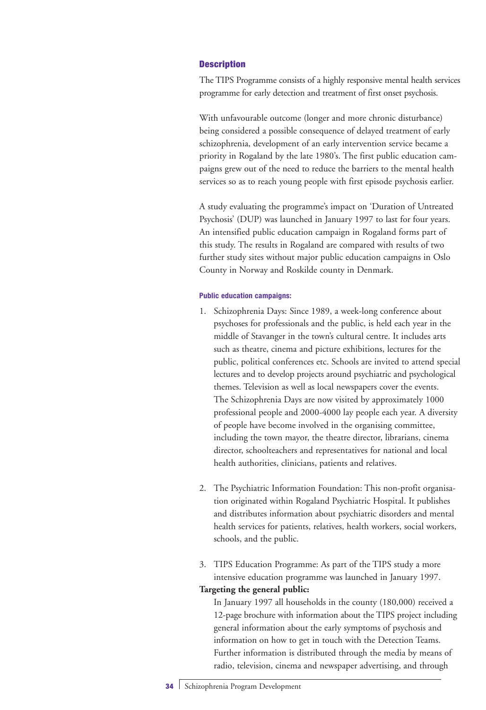#### **Description**

The TIPS Programme consists of a highly responsive mental health services programme for early detection and treatment of first onset psychosis.

With unfavourable outcome (longer and more chronic disturbance) being considered a possible consequence of delayed treatment of early schizophrenia, development of an early intervention service became a priority in Rogaland by the late 1980's. The first public education campaigns grew out of the need to reduce the barriers to the mental health services so as to reach young people with first episode psychosis earlier.

A study evaluating the programme's impact on 'Duration of Untreated Psychosis' (DUP) was launched in January 1997 to last for four years. An intensified public education campaign in Rogaland forms part of this study. The results in Rogaland are compared with results of two further study sites without major public education campaigns in Oslo County in Norway and Roskilde county in Denmark.

#### **Public education campaigns:**

- 1. Schizophrenia Days: Since 1989, a week-long conference about psychoses for professionals and the public, is held each year in the middle of Stavanger in the town's cultural centre. It includes arts such as theatre, cinema and picture exhibitions, lectures for the public, political conferences etc. Schools are invited to attend special lectures and to develop projects around psychiatric and psychological themes. Television as well as local newspapers cover the events. The Schizophrenia Days are now visited by approximately 1000 professional people and 2000-4000 lay people each year. A diversity of people have become involved in the organising committee, including the town mayor, the theatre director, librarians, cinema director, schoolteachers and representatives for national and local health authorities, clinicians, patients and relatives.
- 2. The Psychiatric Information Foundation: This non-profit organisation originated within Rogaland Psychiatric Hospital. It publishes and distributes information about psychiatric disorders and mental health services for patients, relatives, health workers, social workers, schools, and the public.
- 3. TIPS Education Programme: As part of the TIPS study a more intensive education programme was launched in January 1997.

# **Targeting the general public:**

In January 1997 all households in the county (180,000) received a 12-page brochure with information about the TIPS project including general information about the early symptoms of psychosis and information on how to get in touch with the Detection Teams. Further information is distributed through the media by means of radio, television, cinema and newspaper advertising, and through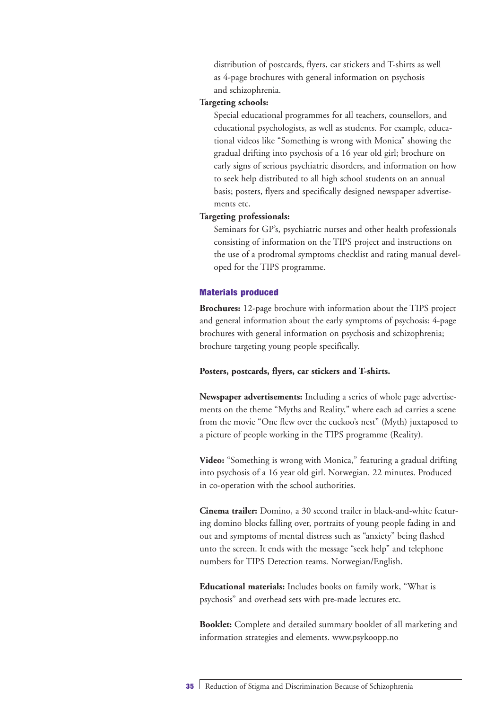distribution of postcards, flyers, car stickers and T-shirts as well as 4-page brochures with general information on psychosis and schizophrenia.

#### **Targeting schools:**

Special educational programmes for all teachers, counsellors, and educational psychologists, as well as students. For example, educational videos like "Something is wrong with Monica" showing the gradual drifting into psychosis of a 16 year old girl; brochure on early signs of serious psychiatric disorders, and information on how to seek help distributed to all high school students on an annual basis; posters, flyers and specifically designed newspaper advertisements etc.

### **Targeting professionals:**

Seminars for GP's, psychiatric nurses and other health professionals consisting of information on the TIPS project and instructions on the use of a prodromal symptoms checklist and rating manual developed for the TIPS programme.

## **Materials produced**

**Brochures:** 12-page brochure with information about the TIPS project and general information about the early symptoms of psychosis; 4-page brochures with general information on psychosis and schizophrenia; brochure targeting young people specifically.

#### **Posters, postcards, flyers, car stickers and T-shirts.**

**Newspaper advertisements:** Including a series of whole page advertisements on the theme "Myths and Reality," where each ad carries a scene from the movie "One flew over the cuckoo's nest" (Myth) juxtaposed to a picture of people working in the TIPS programme (Reality).

**Video:** "Something is wrong with Monica," featuring a gradual drifting into psychosis of a 16 year old girl. Norwegian. 22 minutes. Produced in co-operation with the school authorities.

**Cinema trailer:** Domino, a 30 second trailer in black-and-white featuring domino blocks falling over, portraits of young people fading in and out and symptoms of mental distress such as "anxiety" being flashed unto the screen. It ends with the message "seek help" and telephone numbers for TIPS Detection teams. Norwegian/English.

**Educational materials:** Includes books on family work, "What is psychosis" and overhead sets with pre-made lectures etc.

**Booklet:** Complete and detailed summary booklet of all marketing and information strategies and elements. www.psykoopp.no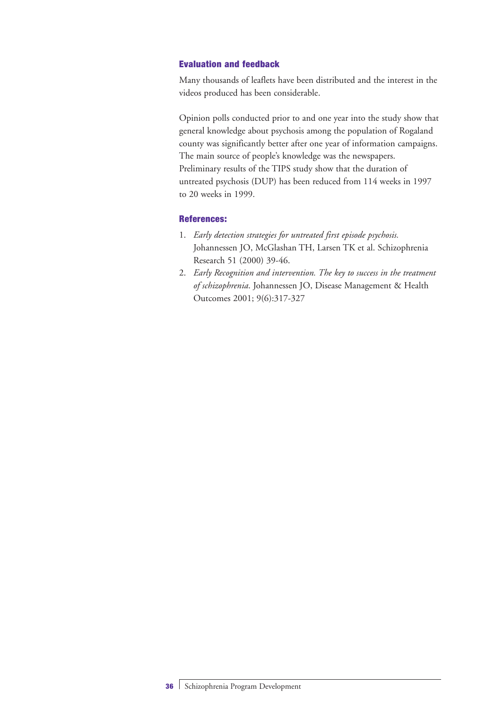### **Evaluation and feedback**

Many thousands of leaflets have been distributed and the interest in the videos produced has been considerable.

Opinion polls conducted prior to and one year into the study show that general knowledge about psychosis among the population of Rogaland county was significantly better after one year of information campaigns. The main source of people's knowledge was the newspapers. Preliminary results of the TIPS study show that the duration of untreated psychosis (DUP) has been reduced from 114 weeks in 1997 to 20 weeks in 1999.

# **References:**

- 1. *Early detection strategies for untreated first episode psychosis.* Johannessen JO, McGlashan TH, Larsen TK et al. Schizophrenia Research 51 (2000) 39-46.
- 2. *Early Recognition and intervention. The key to success in the treatment of schizophrenia*. Johannessen JO, Disease Management & Health Outcomes 2001; 9(6):317-327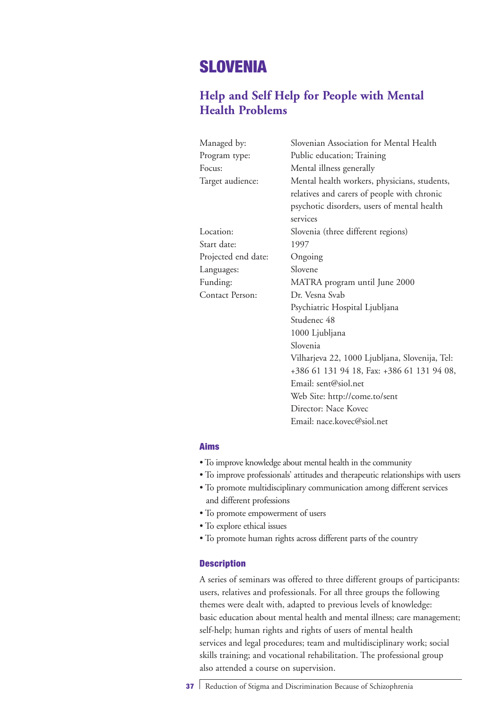# **SLOVENIA**

# **Help and Self Help for People with Mental Health Problems**

| Managed by:         | Slovenian Association for Mental Health        |
|---------------------|------------------------------------------------|
| Program type:       | Public education; Training                     |
| Focus:              | Mental illness generally                       |
| Target audience:    | Mental health workers, physicians, students,   |
|                     | relatives and carers of people with chronic    |
|                     | psychotic disorders, users of mental health    |
|                     | services                                       |
| Location:           | Slovenia (three different regions)             |
| Start date:         | 1997                                           |
| Projected end date: | Ongoing                                        |
| Languages:          | Slovene                                        |
| Funding:            | MATRA program until June 2000                  |
| Contact Person:     | Dr. Vesna Svab                                 |
|                     | Psychiatric Hospital Ljubljana                 |
|                     | Studenec 48                                    |
|                     | 1000 Ljubljana                                 |
|                     | Slovenia                                       |
|                     | Vilharjeva 22, 1000 Ljubljana, Slovenija, Tel: |
|                     | +386 61 131 94 18, Fax: +386 61 131 94 08,     |
|                     | Email: sent@siol.net                           |
|                     | Web Site: http://come.to/sent                  |
|                     | Director: Nace Kovec                           |
|                     | Email: nace.kovec@siol.net                     |

#### **Aims**

- To improve knowledge about mental health in the community
- To improve professionals' attitudes and therapeutic relationships with users
- To promote multidisciplinary communication among different services and different professions
- To promote empowerment of users
- To explore ethical issues
- To promote human rights across different parts of the country

# **Description**

A series of seminars was offered to three different groups of participants: users, relatives and professionals. For all three groups the following themes were dealt with, adapted to previous levels of knowledge: basic education about mental health and mental illness; care management; self-help; human rights and rights of users of mental health services and legal procedures; team and multidisciplinary work; social skills training; and vocational rehabilitation. The professional group also attended a course on supervision.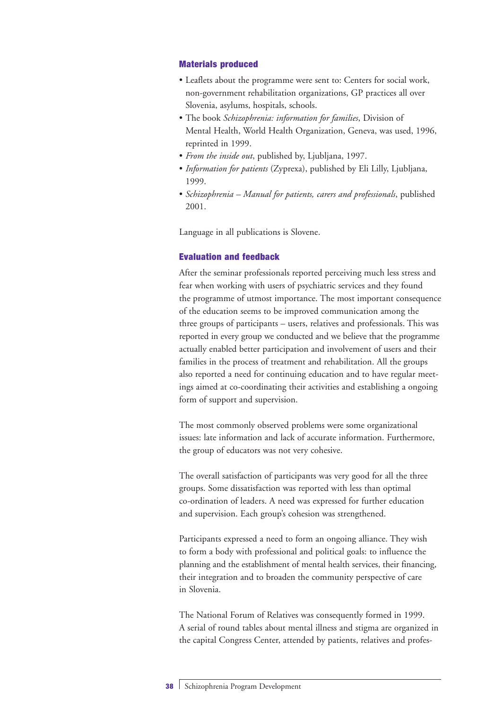#### **Materials produced**

- Leaflets about the programme were sent to: Centers for social work, non-government rehabilitation organizations, GP practices all over Slovenia, asylums, hospitals, schools.
- The book *Schizophrenia: information for families*, Division of Mental Health, World Health Organization, Geneva, was used, 1996, reprinted in 1999.
- *From the inside out*, published by, Ljubljana, 1997.
- *Information for patients* (Zyprexa), published by Eli Lilly, Ljubljana, 1999.
- *Schizophrenia Manual for patients, carers and professionals*, published 2001.

Language in all publications is Slovene.

### **Evaluation and feedback**

After the seminar professionals reported perceiving much less stress and fear when working with users of psychiatric services and they found the programme of utmost importance. The most important consequence of the education seems to be improved communication among the three groups of participants – users, relatives and professionals. This was reported in every group we conducted and we believe that the programme actually enabled better participation and involvement of users and their families in the process of treatment and rehabilitation. All the groups also reported a need for continuing education and to have regular meetings aimed at co-coordinating their activities and establishing a ongoing form of support and supervision.

The most commonly observed problems were some organizational issues: late information and lack of accurate information. Furthermore, the group of educators was not very cohesive.

The overall satisfaction of participants was very good for all the three groups. Some dissatisfaction was reported with less than optimal co-ordination of leaders. A need was expressed for further education and supervision. Each group's cohesion was strengthened.

Participants expressed a need to form an ongoing alliance. They wish to form a body with professional and political goals: to influence the planning and the establishment of mental health services, their financing, their integration and to broaden the community perspective of care in Slovenia.

The National Forum of Relatives was consequently formed in 1999. A serial of round tables about mental illness and stigma are organized in the capital Congress Center, attended by patients, relatives and profes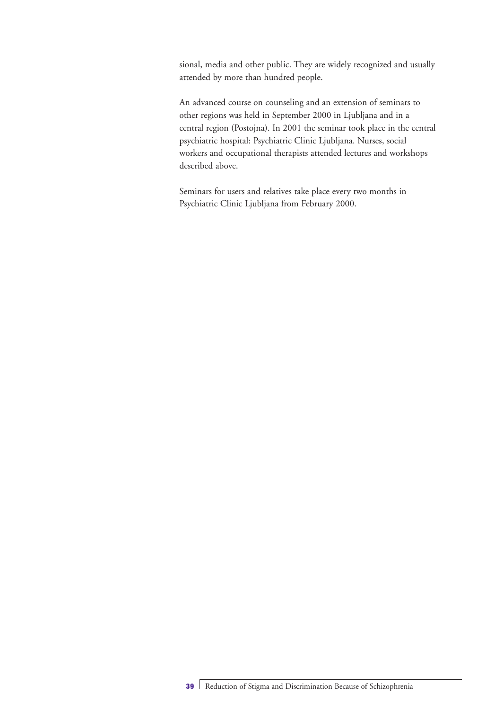sional, media and other public. They are widely recognized and usually attended by more than hundred people.

An advanced course on counseling and an extension of seminars to other regions was held in September 2000 in Ljubljana and in a central region (Postojna). In 2001 the seminar took place in the central psychiatric hospital: Psychiatric Clinic Ljubljana. Nurses, social workers and occupational therapists attended lectures and workshops described above.

Seminars for users and relatives take place every two months in Psychiatric Clinic Ljubljana from February 2000.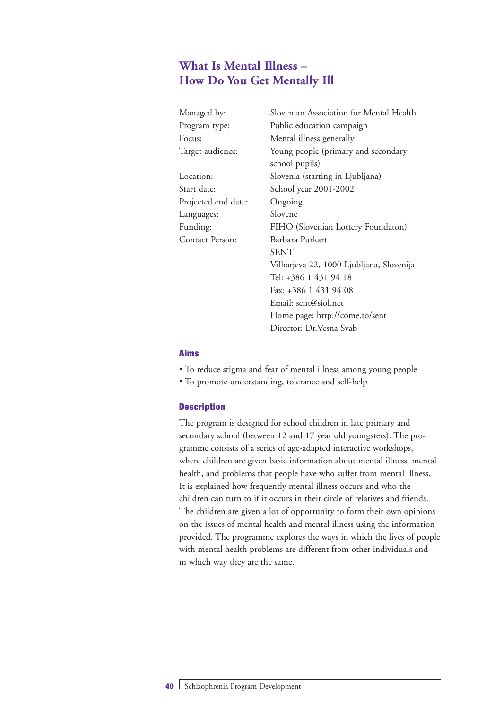# **What Is Mental Illness – How Do You Get Mentally Ill**

| Managed by:         | Slovenian Association for Mental Health               |
|---------------------|-------------------------------------------------------|
| Program type:       | Public education campaign                             |
| Focus:              | Mental illness generally                              |
| Target audience:    | Young people (primary and secondary<br>school pupils) |
| Location:           | Slovenia (starting in Ljubljana)                      |
| Start date:         | School year 2001-2002                                 |
| Projected end date: | Ongoing                                               |
| Languages:          | Slovene                                               |
| Funding:            | FIHO (Slovenian Lottery Foundaton)                    |
| Contact Person:     | Barbara Purkart                                       |
|                     | <b>SENT</b>                                           |
|                     | Vilharjeva 22, 1000 Ljubljana, Slovenija              |
|                     | Tel: +386 1 431 94 18                                 |
|                     | Fax: +386 1 431 94 08                                 |
|                     | Email: sent@siol.net                                  |
|                     | Home page: http://come.to/sent                        |
|                     | Director: Dr.Vesna Svab                               |

## **Aims**

- To reduce stigma and fear of mental illness among young people
- To promote understanding, tolerance and self-help

#### **Description**

The program is designed for school children in late primary and secondary school (between 12 and 17 year old youngsters). The programme consists of a series of age-adapted interactive workshops, where children are given basic information about mental illness, mental health, and problems that people have who suffer from mental illness. It is explained how frequently mental illness occurs and who the children can turn to if it occurs in their circle of relatives and friends. The children are given a lot of opportunity to form their own opinions on the issues of mental health and mental illness using the information provided. The programme explores the ways in which the lives of people with mental health problems are different from other individuals and in which way they are the same.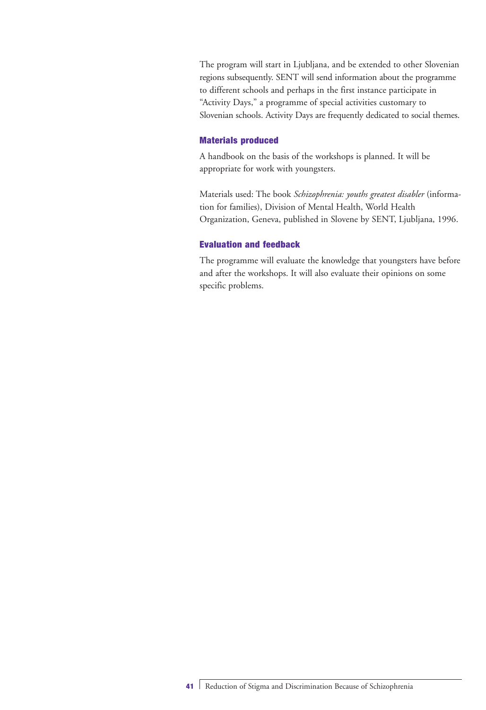The program will start in Ljubljana, and be extended to other Slovenian regions subsequently. SENT will send information about the programme to different schools and perhaps in the first instance participate in "Activity Days," a programme of special activities customary to Slovenian schools. Activity Days are frequently dedicated to social themes.

### **Materials produced**

A handbook on the basis of the workshops is planned. It will be appropriate for work with youngsters.

Materials used: The book *Schizophrenia: youths greatest disabler* (information for families), Division of Mental Health, World Health Organization, Geneva, published in Slovene by SENT, Ljubljana, 1996.

## **Evaluation and feedback**

The programme will evaluate the knowledge that youngsters have before and after the workshops. It will also evaluate their opinions on some specific problems.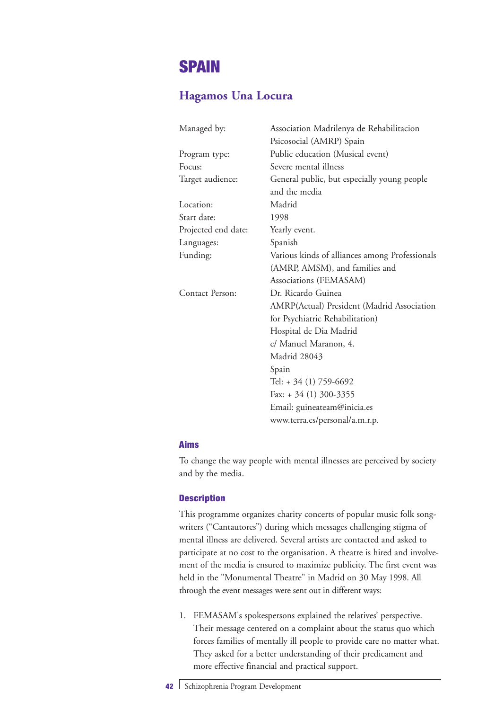# **SPAIN**

# **Hagamos Una Locura**

| Managed by:         | Association Madrilenya de Rehabilitacion                     |
|---------------------|--------------------------------------------------------------|
|                     | Psicosocial (AMRP) Spain                                     |
| Program type:       | Public education (Musical event)                             |
| Focus:              | Severe mental illness                                        |
| Target audience:    | General public, but especially young people<br>and the media |
| Location:           | Madrid                                                       |
| Start date:         | 1998                                                         |
| Projected end date: | Yearly event.                                                |
| Languages:          | Spanish                                                      |
| Funding:            | Various kinds of alliances among Professionals               |
|                     | (AMRP, AMSM), and families and                               |
|                     | Associations (FEMASAM)                                       |
| Contact Person:     | Dr. Ricardo Guinea                                           |
|                     | AMRP(Actual) President (Madrid Association                   |
|                     | for Psychiatric Rehabilitation)                              |
|                     | Hospital de Dia Madrid                                       |
|                     | c/ Manuel Maranon, 4.                                        |
|                     | Madrid 28043                                                 |
|                     | Spain                                                        |
|                     | Tel: $+ 34$ (1) 759-6692                                     |
|                     | Fax: $+34$ (1) 300-3355                                      |
|                     | Email: guineateam@inicia.es                                  |
|                     | www.terra.es/personal/a.m.r.p.                               |

## **Aims**

To change the way people with mental illnesses are perceived by society and by the media.

# **Description**

This programme organizes charity concerts of popular music folk songwriters ("Cantautores") during which messages challenging stigma of mental illness are delivered. Several artists are contacted and asked to participate at no cost to the organisation. A theatre is hired and involvement of the media is ensured to maximize publicity. The first event was held in the "Monumental Theatre" in Madrid on 30 May 1998. All through the event messages were sent out in different ways:

1. FEMASAM's spokespersons explained the relatives' perspective. Their message centered on a complaint about the status quo which forces families of mentally ill people to provide care no matter what. They asked for a better understanding of their predicament and more effective financial and practical support.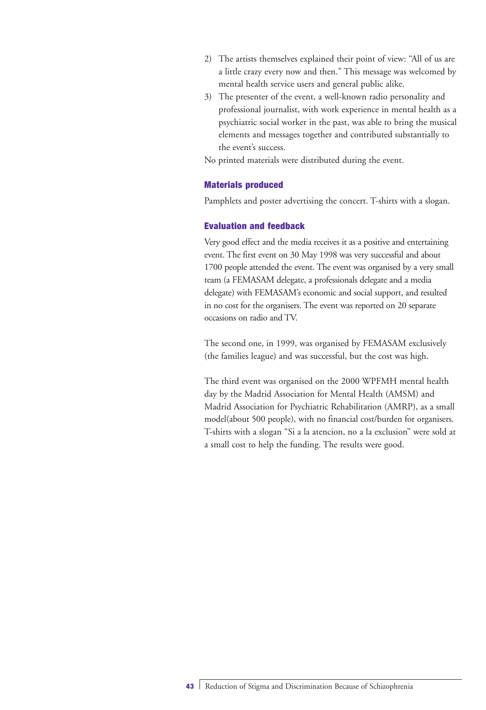- 2) The artists themselves explained their point of view: "All of us are a little crazy every now and then." This message was welcomed by mental health service users and general public alike.
- 3) The presenter of the event, a well-known radio personality and professional journalist, with work experience in mental health as a psychiatric social worker in the past, was able to bring the musical elements and messages together and contributed substantially to the event's success.

No printed materials were distributed during the event.

#### **Materials produced**

Pamphlets and poster advertising the concert. T-shirts with a slogan.

### **Evaluation and feedback**

Very good effect and the media receives it as a positive and entertaining event. The first event on 30 May 1998 was very successful and about 1700 people attended the event. The event was organised by a very small team (a FEMASAM delegate, a professionals delegate and a media delegate) with FEMASAM's economic and social support, and resulted in no cost for the organisers. The event was reported on 20 separate occasions on radio and TV.

The second one, in 1999, was organised by FEMASAM exclusively (the families league) and was successful, but the cost was high.

The third event was organised on the 2000 WPFMH mental health day by the Madrid Association for Mental Health (AMSM) and Madrid Association for Psychiatric Rehabilitation (AMRP), as a small model(about 500 people), with no financial cost/burden for organisers. T-shirts with a slogan "Si a la atencion, no a la exclusion" were sold at a small cost to help the funding. The results were good.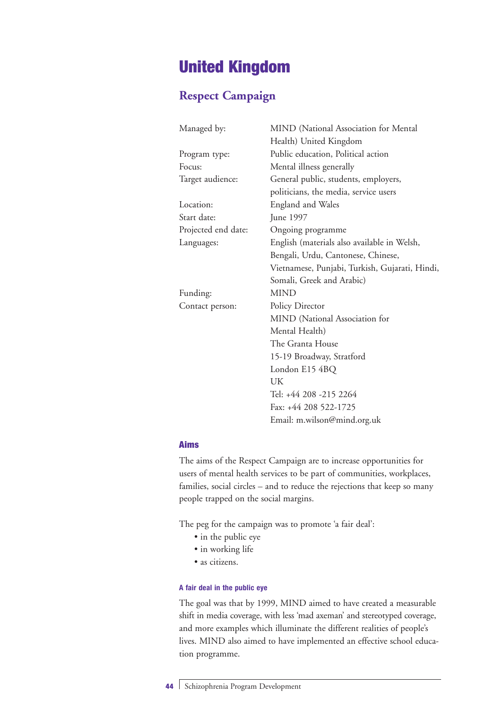# **United Kingdom**

# **Respect Campaign**

| Managed by:         | MIND (National Association for Mental          |
|---------------------|------------------------------------------------|
|                     | Health) United Kingdom                         |
| Program type:       | Public education, Political action             |
| Focus:              | Mental illness generally                       |
| Target audience:    | General public, students, employers,           |
|                     | politicians, the media, service users          |
| Location:           | <b>England and Wales</b>                       |
| Start date:         | June 1997                                      |
| Projected end date: | Ongoing programme                              |
| Languages:          | English (materials also available in Welsh,    |
|                     | Bengali, Urdu, Cantonese, Chinese,             |
|                     | Vietnamese, Punjabi, Turkish, Gujarati, Hindi, |
|                     | Somali, Greek and Arabic)                      |
| Funding:            | <b>MIND</b>                                    |
| Contact person:     | Policy Director                                |
|                     | MIND (National Association for                 |
|                     | Mental Health)                                 |
|                     | The Granta House                               |
|                     | 15-19 Broadway, Stratford                      |
|                     | London E15 4BQ                                 |
|                     | UK                                             |
|                     | Tel: +44 208 -215 2264                         |
|                     | Fax: +44 208 522-1725                          |
|                     | Email: m.wilson@mind.org.uk                    |

### **Aims**

The aims of the Respect Campaign are to increase opportunities for users of mental health services to be part of communities, workplaces, families, social circles – and to reduce the rejections that keep so many people trapped on the social margins.

The peg for the campaign was to promote 'a fair deal':

- in the public eye
- in working life
- as citizens.

# **A fair deal in the public eye**

The goal was that by 1999, MIND aimed to have created a measurable shift in media coverage, with less 'mad axeman' and stereotyped coverage, and more examples which illuminate the different realities of people's lives. MIND also aimed to have implemented an effective school education programme.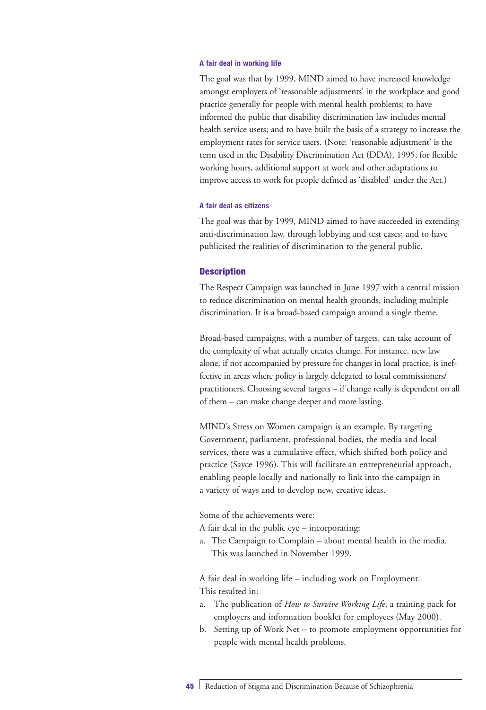#### **A fair deal in working life**

The goal was that by 1999, MIND aimed to have increased knowledge amongst employers of 'reasonable adjustments' in the workplace and good practice generally for people with mental health problems; to have informed the public that disability discrimination law includes mental health service users; and to have built the basis of a strategy to increase the employment rates for service users. (Note: 'reasonable adjustment' is the term used in the Disability Discrimination Act (DDA), 1995, for flexible working hours, additional support at work and other adaptations to improve access to work for people defined as 'disabled' under the Act.)

#### **A fair deal as citizens**

The goal was that by 1999, MIND aimed to have succeeded in extending anti-discrimination law, through lobbying and test cases; and to have publicised the realities of discrimination to the general public.

#### **Description**

The Respect Campaign was launched in June 1997 with a central mission to reduce discrimination on mental health grounds, including multiple discrimination. It is a broad-based campaign around a single theme.

Broad-based campaigns, with a number of targets, can take account of the complexity of what actually creates change. For instance, new law alone, if not accompanied by pressure for changes in local practice, is ineffective in areas where policy is largely delegated to local commissioners/ practitioners. Choosing several targets – if change really is dependent on all of them – can make change deeper and more lasting.

MIND's Stress on Women campaign is an example. By targeting Government, parliament, professional bodies, the media and local services, there was a cumulative effect, which shifted both policy and practice (Sayce 1996). This will facilitate an entrepreneurial approach, enabling people locally and nationally to link into the campaign in a variety of ways and to develop new, creative ideas.

Some of the achievements were:

A fair deal in the public eye – incorporating:

a. The Campaign to Complain – about mental health in the media. This was launched in November 1999.

A fair deal in working life – including work on Employment. This resulted in:

- a. The publication of *How to Survive Working Life*, a training pack for employers and information booklet for employees (May 2000).
- b. Setting up of Work Net to promote employment opportunities for people with mental health problems.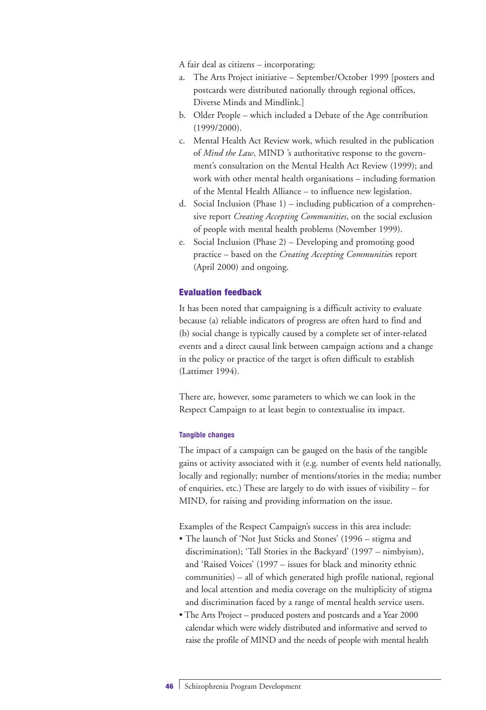A fair deal as citizens – incorporating:

- a. The Arts Project initiative September/October 1999 [posters and postcards were distributed nationally through regional offices, Diverse Minds and Mindlink.]
- b. Older People which included a Debate of the Age contribution (1999/2000).
- c. Mental Health Act Review work, which resulted in the publication of *Mind the Law*, MIND 's authoritative response to the government's consultation on the Mental Health Act Review (1999); and work with other mental health organisations – including formation of the Mental Health Alliance – to influence new legislation.
- d. Social Inclusion (Phase 1) including publication of a comprehensive report *Creating Accepting Communities*, on the social exclusion of people with mental health problems (November 1999).
- e. Social Inclusion (Phase 2) Developing and promoting good practice – based on the *Creating Accepting Communitie*s report (April 2000) and ongoing.

## **Evaluation feedback**

It has been noted that campaigning is a difficult activity to evaluate because (a) reliable indicators of progress are often hard to find and (b) social change is typically caused by a complete set of inter-related events and a direct causal link between campaign actions and a change in the policy or practice of the target is often difficult to establish (Lattimer 1994).

There are, however, some parameters to which we can look in the Respect Campaign to at least begin to contextualise its impact.

#### **Tangible changes**

The impact of a campaign can be gauged on the basis of the tangible gains or activity associated with it (e.g. number of events held nationally, locally and regionally; number of mentions/stories in the media; number of enquiries, etc.) These are largely to do with issues of visibility – for MIND, for raising and providing information on the issue.

Examples of the Respect Campaign's success in this area include:

- The launch of 'Not Just Sticks and Stones' (1996 stigma and discrimination); 'Tall Stories in the Backyard' (1997 – nimbyism), and 'Raised Voices' (1997 – issues for black and minority ethnic communities) – all of which generated high profile national, regional and local attention and media coverage on the multiplicity of stigma and discrimination faced by a range of mental health service users.
- The Arts Project produced posters and postcards and a Year 2000 calendar which were widely distributed and informative and served to raise the profile of MIND and the needs of people with mental health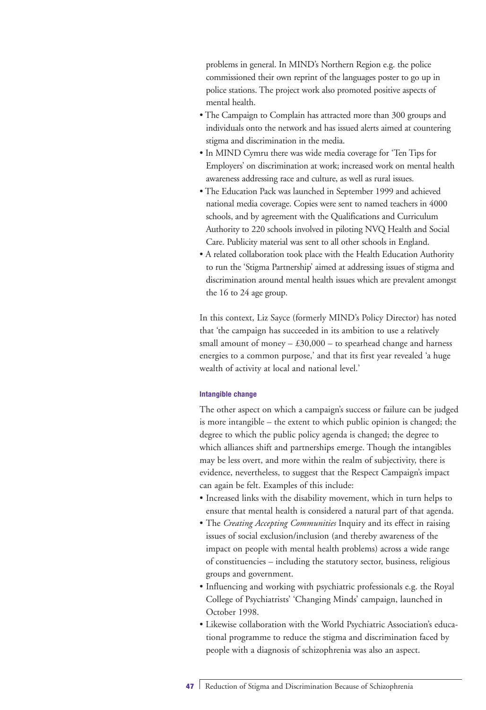problems in general. In MIND's Northern Region e.g. the police commissioned their own reprint of the languages poster to go up in police stations. The project work also promoted positive aspects of mental health.

- The Campaign to Complain has attracted more than 300 groups and individuals onto the network and has issued alerts aimed at countering stigma and discrimination in the media.
- In MIND Cymru there was wide media coverage for 'Ten Tips for Employers' on discrimination at work; increased work on mental health awareness addressing race and culture, as well as rural issues.
- The Education Pack was launched in September 1999 and achieved national media coverage. Copies were sent to named teachers in 4000 schools, and by agreement with the Qualifications and Curriculum Authority to 220 schools involved in piloting NVQ Health and Social Care. Publicity material was sent to all other schools in England.
- A related collaboration took place with the Health Education Authority to run the 'Stigma Partnership' aimed at addressing issues of stigma and discrimination around mental health issues which are prevalent amongst the 16 to 24 age group.

In this context, Liz Sayce (formerly MIND's Policy Director) has noted that 'the campaign has succeeded in its ambition to use a relatively small amount of money  $- £30,000 -$  to spearhead change and harness energies to a common purpose,' and that its first year revealed 'a huge wealth of activity at local and national level.'

#### **Intangible change**

The other aspect on which a campaign's success or failure can be judged is more intangible – the extent to which public opinion is changed; the degree to which the public policy agenda is changed; the degree to which alliances shift and partnerships emerge. Though the intangibles may be less overt, and more within the realm of subjectivity, there is evidence, nevertheless, to suggest that the Respect Campaign's impact can again be felt. Examples of this include:

- Increased links with the disability movement, which in turn helps to ensure that mental health is considered a natural part of that agenda.
- The *Creating Accepting Communities* Inquiry and its effect in raising issues of social exclusion/inclusion (and thereby awareness of the impact on people with mental health problems) across a wide range of constituencies – including the statutory sector, business, religious groups and government.
- Influencing and working with psychiatric professionals e.g. the Royal College of Psychiatrists' 'Changing Minds' campaign, launched in October 1998.
- Likewise collaboration with the World Psychiatric Association's educational programme to reduce the stigma and discrimination faced by people with a diagnosis of schizophrenia was also an aspect.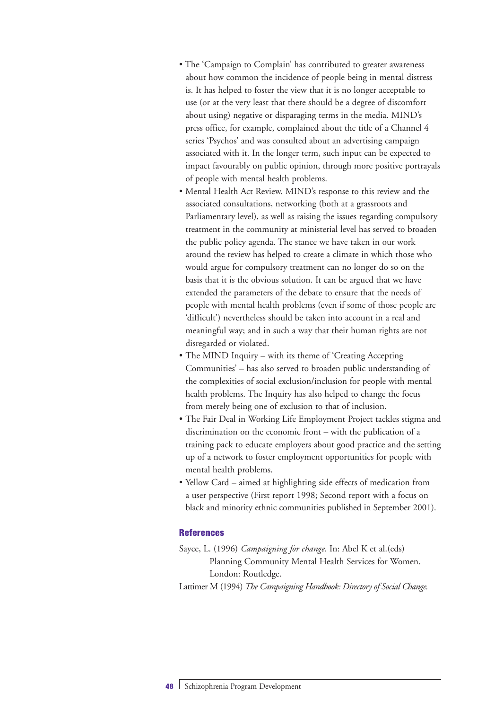- The 'Campaign to Complain' has contributed to greater awareness about how common the incidence of people being in mental distress is. It has helped to foster the view that it is no longer acceptable to use (or at the very least that there should be a degree of discomfort about using) negative or disparaging terms in the media. MIND's press office, for example, complained about the title of a Channel 4 series 'Psychos' and was consulted about an advertising campaign associated with it. In the longer term, such input can be expected to impact favourably on public opinion, through more positive portrayals of people with mental health problems.
- Mental Health Act Review. MIND's response to this review and the associated consultations, networking (both at a grassroots and Parliamentary level), as well as raising the issues regarding compulsory treatment in the community at ministerial level has served to broaden the public policy agenda. The stance we have taken in our work around the review has helped to create a climate in which those who would argue for compulsory treatment can no longer do so on the basis that it is the obvious solution. It can be argued that we have extended the parameters of the debate to ensure that the needs of people with mental health problems (even if some of those people are 'difficult') nevertheless should be taken into account in a real and meaningful way; and in such a way that their human rights are not disregarded or violated.
- The MIND Inquiry with its theme of 'Creating Accepting Communities' – has also served to broaden public understanding of the complexities of social exclusion/inclusion for people with mental health problems. The Inquiry has also helped to change the focus from merely being one of exclusion to that of inclusion.
- The Fair Deal in Working Life Employment Project tackles stigma and discrimination on the economic front – with the publication of a training pack to educate employers about good practice and the setting up of a network to foster employment opportunities for people with mental health problems.
- Yellow Card aimed at highlighting side effects of medication from a user perspective (First report 1998; Second report with a focus on black and minority ethnic communities published in September 2001).

### **References**

- Sayce, L. (1996) *Campaigning for change*. In: Abel K et al.(eds) Planning Community Mental Health Services for Women. London: Routledge.
- Lattimer M (1994) *The Campaigning Handbook: Directory of Social Change.*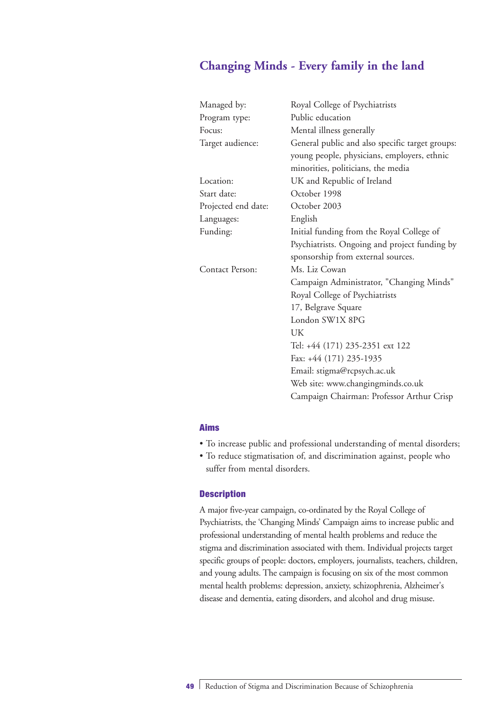# **Changing Minds - Every family in the land**

| Managed by:         | Royal College of Psychiatrists                                                                                                       |
|---------------------|--------------------------------------------------------------------------------------------------------------------------------------|
| Program type:       | Public education                                                                                                                     |
| Focus:              | Mental illness generally                                                                                                             |
| Target audience:    | General public and also specific target groups:<br>young people, physicians, employers, ethnic<br>minorities, politicians, the media |
| Location:           | UK and Republic of Ireland                                                                                                           |
| Start date:         | October 1998                                                                                                                         |
| Projected end date: | October 2003                                                                                                                         |
| Languages:          | English                                                                                                                              |
| Funding:            | Initial funding from the Royal College of                                                                                            |
|                     | Psychiatrists. Ongoing and project funding by<br>sponsorship from external sources.                                                  |
| Contact Person:     | Ms. Liz Cowan                                                                                                                        |
|                     | Campaign Administrator, "Changing Minds"<br>Royal College of Psychiatrists                                                           |
|                     | 17, Belgrave Square                                                                                                                  |
|                     | London SW1X 8PG                                                                                                                      |
|                     | UK                                                                                                                                   |
|                     | Tel: +44 (171) 235-2351 ext 122                                                                                                      |
|                     | Fax: +44 (171) 235-1935                                                                                                              |
|                     | Email: stigma@rcpsych.ac.uk                                                                                                          |
|                     | Web site: www.changingminds.co.uk                                                                                                    |
|                     | Campaign Chairman: Professor Arthur Crisp                                                                                            |

### **Aims**

- To increase public and professional understanding of mental disorders;
- To reduce stigmatisation of, and discrimination against, people who suffer from mental disorders.

#### **Description**

A major five-year campaign, co-ordinated by the Royal College of Psychiatrists, the 'Changing Minds' Campaign aims to increase public and professional understanding of mental health problems and reduce the stigma and discrimination associated with them. Individual projects target specific groups of people: doctors, employers, journalists, teachers, children, and young adults. The campaign is focusing on six of the most common mental health problems: depression, anxiety, schizophrenia, Alzheimer's disease and dementia, eating disorders, and alcohol and drug misuse.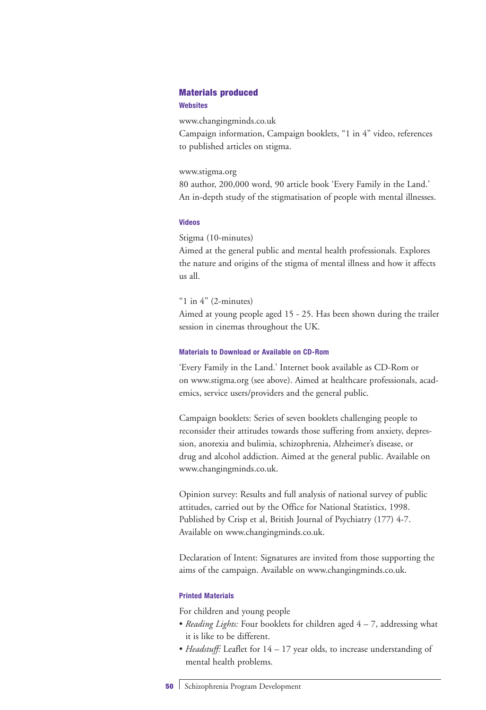#### **Materials produced**

#### **Websites**

www.changingminds.co.uk Campaign information, Campaign booklets, "1 in 4" video, references to published articles on stigma.

#### www.stigma.org

80 author, 200,000 word, 90 article book 'Every Family in the Land.' An in-depth study of the stigmatisation of people with mental illnesses.

#### **Videos**

#### Stigma (10-minutes)

Aimed at the general public and mental health professionals. Explores the nature and origins of the stigma of mental illness and how it affects us all.

# "1 in  $4$ " (2-minutes)

Aimed at young people aged 15 - 25. Has been shown during the trailer session in cinemas throughout the UK.

#### **Materials to Download or Available on CD-Rom**

'Every Family in the Land.' Internet book available as CD-Rom or on www.stigma.org (see above). Aimed at healthcare professionals, academics, service users/providers and the general public.

Campaign booklets: Series of seven booklets challenging people to reconsider their attitudes towards those suffering from anxiety, depression, anorexia and bulimia, schizophrenia, Alzheimer's disease, or drug and alcohol addiction. Aimed at the general public. Available on www.changingminds.co.uk.

Opinion survey: Results and full analysis of national survey of public attitudes, carried out by the Office for National Statistics, 1998. Published by Crisp et al, British Journal of Psychiatry (177) 4-7. Available on www.changingminds.co.uk.

Declaration of Intent: Signatures are invited from those supporting the aims of the campaign. Available on www.changingminds.co.uk.

# **Printed Materials**

For children and young people

- *Reading Lights:* Four booklets for children aged 4 7, addressing what it is like to be different.
- *Headstuff*: Leaflet for 14 17 year olds, to increase understanding of mental health problems.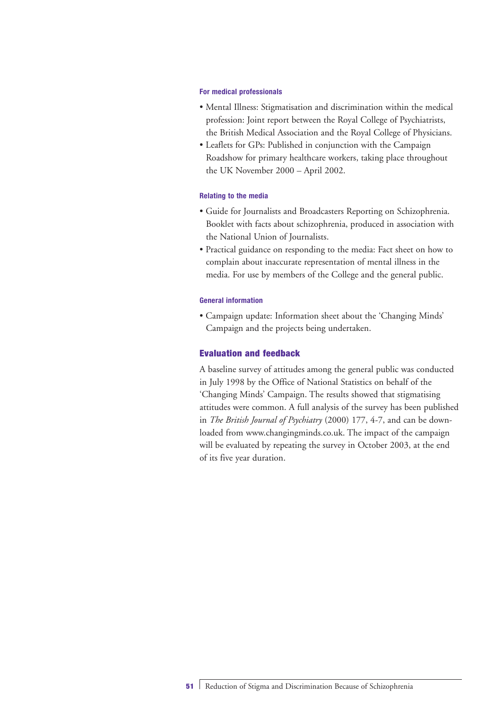#### **For medical professionals**

- Mental Illness: Stigmatisation and discrimination within the medical profession: Joint report between the Royal College of Psychiatrists, the British Medical Association and the Royal College of Physicians.
- Leaflets for GPs: Published in conjunction with the Campaign Roadshow for primary healthcare workers, taking place throughout the UK November 2000 – April 2002.

#### **Relating to the media**

- Guide for Journalists and Broadcasters Reporting on Schizophrenia. Booklet with facts about schizophrenia, produced in association with the National Union of Journalists.
- Practical guidance on responding to the media: Fact sheet on how to complain about inaccurate representation of mental illness in the media. For use by members of the College and the general public.

#### **General information**

• Campaign update: Information sheet about the 'Changing Minds' Campaign and the projects being undertaken.

#### **Evaluation and feedback**

A baseline survey of attitudes among the general public was conducted in July 1998 by the Office of National Statistics on behalf of the 'Changing Minds' Campaign. The results showed that stigmatising attitudes were common. A full analysis of the survey has been published in *The British Journal of Psychiatry* (2000) 177, 4-7, and can be downloaded from www.changingminds.co.uk. The impact of the campaign will be evaluated by repeating the survey in October 2003, at the end of its five year duration.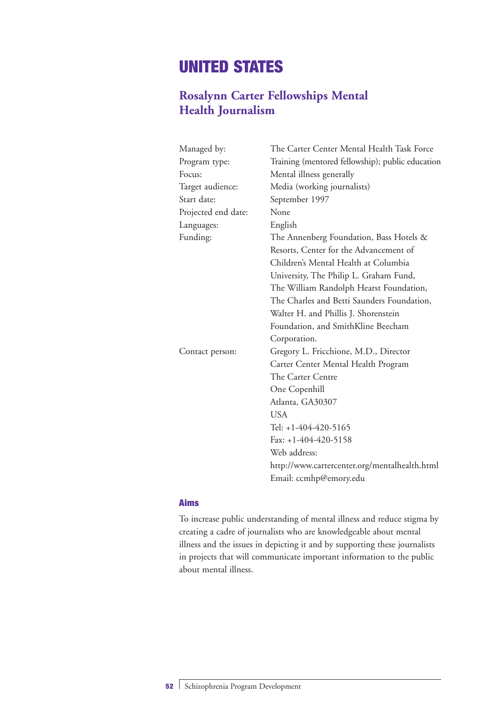# **UNITED STATES**

# **Rosalynn Carter Fellowships Mental Health Journalism**

| Managed by:         | The Carter Center Mental Health Task Force       |
|---------------------|--------------------------------------------------|
| Program type:       | Training (mentored fellowship); public education |
| Focus:              |                                                  |
|                     | Mental illness generally                         |
| Target audience:    | Media (working journalists)                      |
| Start date:         | September 1997                                   |
| Projected end date: | None                                             |
| Languages:          | English                                          |
| Funding:            | The Annenberg Foundation, Bass Hotels &          |
|                     | Resorts, Center for the Advancement of           |
|                     | Children's Mental Health at Columbia             |
|                     | University, The Philip L. Graham Fund,           |
|                     | The William Randolph Hearst Foundation,          |
|                     | The Charles and Betti Saunders Foundation,       |
|                     | Walter H. and Phillis J. Shorenstein             |
|                     | Foundation, and SmithKline Beecham               |
|                     | Corporation.                                     |
| Contact person:     | Gregory L. Fricchione, M.D., Director            |
|                     | Carter Center Mental Health Program              |
|                     | The Carter Centre                                |
|                     | One Copenhill                                    |
|                     | Atlanta, GA30307                                 |
|                     | <b>USA</b>                                       |
|                     | Tel: +1-404-420-5165                             |
|                     | Fax: +1-404-420-5158                             |
|                     | Web address:                                     |
|                     | http://www.cartercenter.org/mentalhealth.html    |
|                     | Email: ccmhp@emory.edu                           |

### **Aims**

To increase public understanding of mental illness and reduce stigma by creating a cadre of journalists who are knowledgeable about mental illness and the issues in depicting it and by supporting these journalists in projects that will communicate important information to the public about mental illness.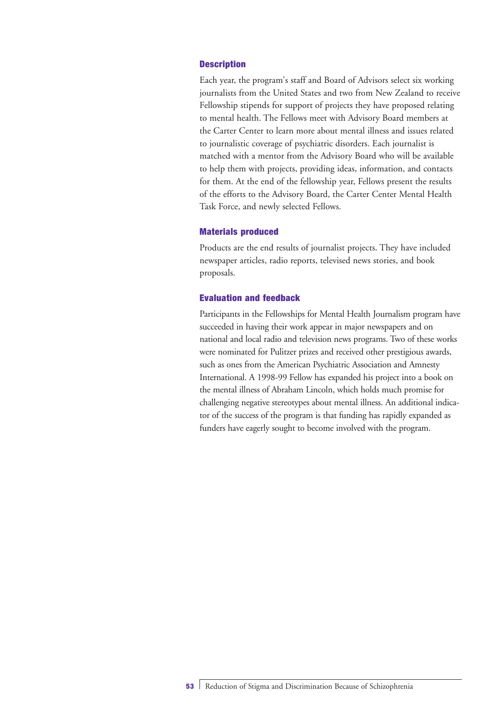#### **Description**

Each year, the program's staff and Board of Advisors select six working journalists from the United States and two from New Zealand to receive Fellowship stipends for support of projects they have proposed relating to mental health. The Fellows meet with Advisory Board members at the Carter Center to learn more about mental illness and issues related to journalistic coverage of psychiatric disorders. Each journalist is matched with a mentor from the Advisory Board who will be available to help them with projects, providing ideas, information, and contacts for them. At the end of the fellowship year, Fellows present the results of the efforts to the Advisory Board, the Carter Center Mental Health Task Force, and newly selected Fellows.

### **Materials produced**

Products are the end results of journalist projects. They have included newspaper articles, radio reports, televised news stories, and book proposals.

#### **Evaluation and feedback**

Participants in the Fellowships for Mental Health Journalism program have succeeded in having their work appear in major newspapers and on national and local radio and television news programs. Two of these works were nominated for Pulitzer prizes and received other prestigious awards, such as ones from the American Psychiatric Association and Amnesty International. A 1998-99 Fellow has expanded his project into a book on the mental illness of Abraham Lincoln, which holds much promise for challenging negative stereotypes about mental illness. An additional indicator of the success of the program is that funding has rapidly expanded as funders have eagerly sought to become involved with the program.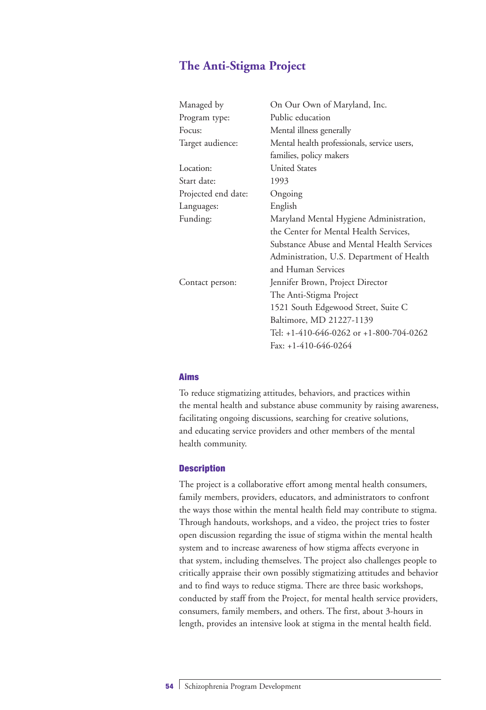# **The Anti-Stigma Project**

| Managed by          | On Our Own of Maryland, Inc.                |
|---------------------|---------------------------------------------|
| Program type:       | Public education                            |
| Focus:              | Mental illness generally                    |
| Target audience:    | Mental health professionals, service users, |
|                     | families, policy makers                     |
| Location:           | <b>United States</b>                        |
| Start date:         | 1993                                        |
| Projected end date: | Ongoing                                     |
| Languages:          | English                                     |
| Funding:            | Maryland Mental Hygiene Administration,     |
|                     | the Center for Mental Health Services,      |
|                     | Substance Abuse and Mental Health Services  |
|                     | Administration, U.S. Department of Health   |
|                     | and Human Services                          |
| Contact person:     | Jennifer Brown, Project Director            |
|                     | The Anti-Stigma Project                     |
|                     | 1521 South Edgewood Street, Suite C         |
|                     | Baltimore, MD 21227-1139                    |
|                     | Tel: +1-410-646-0262 or +1-800-704-0262     |
|                     | Fax: $+1-410-646-0264$                      |
|                     |                                             |

### **Aims**

To reduce stigmatizing attitudes, behaviors, and practices within the mental health and substance abuse community by raising awareness, facilitating ongoing discussions, searching for creative solutions, and educating service providers and other members of the mental health community.

#### **Description**

The project is a collaborative effort among mental health consumers, family members, providers, educators, and administrators to confront the ways those within the mental health field may contribute to stigma. Through handouts, workshops, and a video, the project tries to foster open discussion regarding the issue of stigma within the mental health system and to increase awareness of how stigma affects everyone in that system, including themselves. The project also challenges people to critically appraise their own possibly stigmatizing attitudes and behavior and to find ways to reduce stigma. There are three basic workshops, conducted by staff from the Project, for mental health service providers, consumers, family members, and others. The first, about 3-hours in length, provides an intensive look at stigma in the mental health field.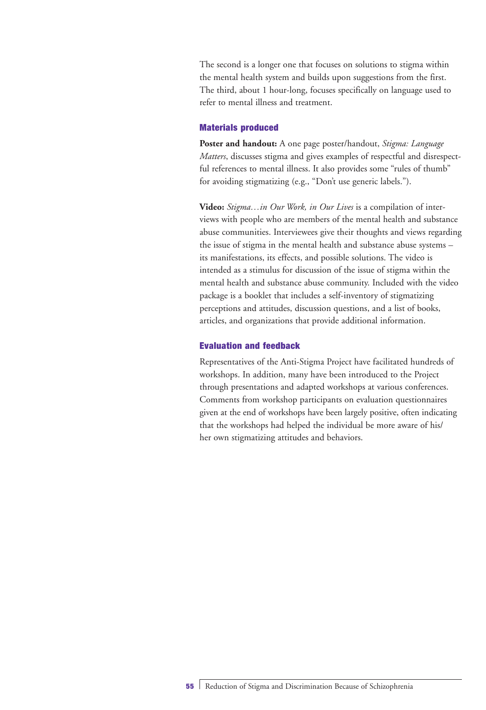The second is a longer one that focuses on solutions to stigma within the mental health system and builds upon suggestions from the first. The third, about 1 hour-long, focuses specifically on language used to refer to mental illness and treatment.

#### **Materials produced**

**Poster and handout:** A one page poster/handout, *Stigma: Language Matters*, discusses stigma and gives examples of respectful and disrespectful references to mental illness. It also provides some "rules of thumb" for avoiding stigmatizing (e.g., "Don't use generic labels.").

**Video:** *Stigma…in Our Work, in Our Lives* is a compilation of interviews with people who are members of the mental health and substance abuse communities. Interviewees give their thoughts and views regarding the issue of stigma in the mental health and substance abuse systems – its manifestations, its effects, and possible solutions. The video is intended as a stimulus for discussion of the issue of stigma within the mental health and substance abuse community. Included with the video package is a booklet that includes a self-inventory of stigmatizing perceptions and attitudes, discussion questions, and a list of books, articles, and organizations that provide additional information.

#### **Evaluation and feedback**

Representatives of the Anti-Stigma Project have facilitated hundreds of workshops. In addition, many have been introduced to the Project through presentations and adapted workshops at various conferences. Comments from workshop participants on evaluation questionnaires given at the end of workshops have been largely positive, often indicating that the workshops had helped the individual be more aware of his/ her own stigmatizing attitudes and behaviors.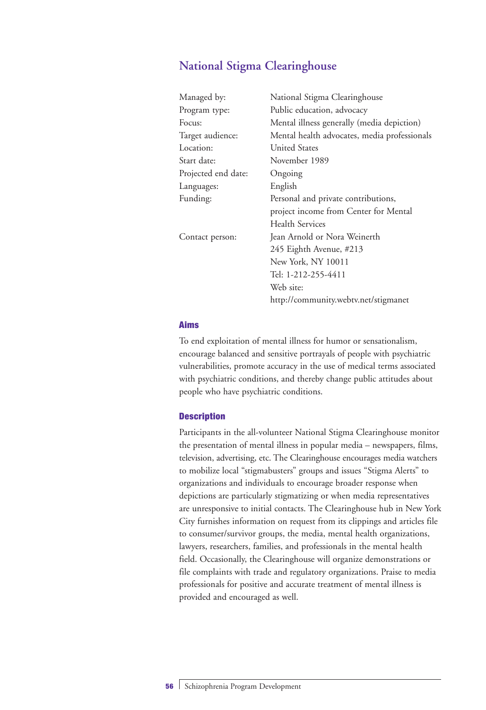# **National Stigma Clearinghouse**

| Managed by:         | National Stigma Clearinghouse                |
|---------------------|----------------------------------------------|
| Program type:       | Public education, advocacy                   |
| Focus:              | Mental illness generally (media depiction)   |
| Target audience:    | Mental health advocates, media professionals |
| Location:           | <b>United States</b>                         |
| Start date:         | November 1989                                |
| Projected end date: | Ongoing                                      |
| Languages:          | English                                      |
| Funding:            | Personal and private contributions,          |
|                     | project income from Center for Mental        |
|                     | <b>Health Services</b>                       |
| Contact person:     | Jean Arnold or Nora Weinerth                 |
|                     | 245 Eighth Avenue, #213                      |
|                     | New York, NY 10011                           |
|                     | Tel: 1-212-255-4411                          |
|                     | Web site:                                    |
|                     | http://community.webtv.net/stigmanet         |

## **Aims**

To end exploitation of mental illness for humor or sensationalism, encourage balanced and sensitive portrayals of people with psychiatric vulnerabilities, promote accuracy in the use of medical terms associated with psychiatric conditions, and thereby change public attitudes about people who have psychiatric conditions.

### **Description**

Participants in the all-volunteer National Stigma Clearinghouse monitor the presentation of mental illness in popular media – newspapers, films, television, advertising, etc. The Clearinghouse encourages media watchers to mobilize local "stigmabusters" groups and issues "Stigma Alerts" to organizations and individuals to encourage broader response when depictions are particularly stigmatizing or when media representatives are unresponsive to initial contacts. The Clearinghouse hub in New York City furnishes information on request from its clippings and articles file to consumer/survivor groups, the media, mental health organizations, lawyers, researchers, families, and professionals in the mental health field. Occasionally, the Clearinghouse will organize demonstrations or file complaints with trade and regulatory organizations. Praise to media professionals for positive and accurate treatment of mental illness is provided and encouraged as well.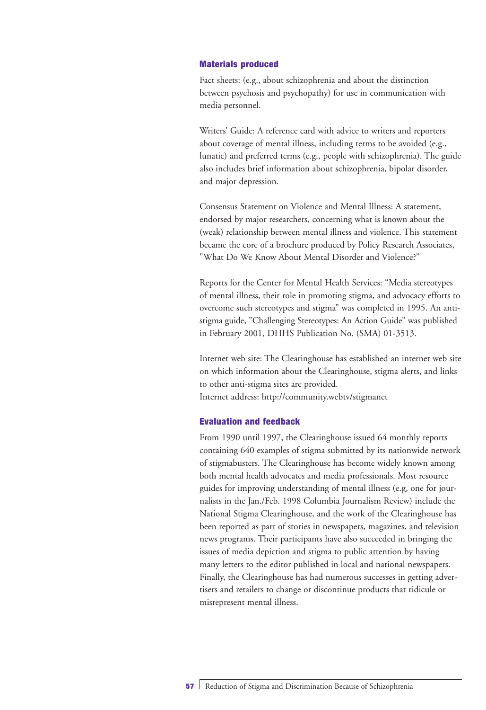#### **Materials produced**

Fact sheets: (e.g., about schizophrenia and about the distinction between psychosis and psychopathy) for use in communication with media personnel.

Writers' Guide: A reference card with advice to writers and reporters about coverage of mental illness, including terms to be avoided (e.g., lunatic) and preferred terms (e.g., people with schizophrenia). The guide also includes brief information about schizophrenia, bipolar disorder, and major depression.

Consensus Statement on Violence and Mental Illness: A statement, endorsed by major researchers, concerning what is known about the (weak) relationship between mental illness and violence. This statement became the core of a brochure produced by Policy Research Associates, "What Do We Know About Mental Disorder and Violence?"

Reports for the Center for Mental Health Services: "Media stereotypes of mental illness, their role in promoting stigma, and advocacy efforts to overcome such stereotypes and stigma" was completed in 1995. An antistigma guide, "Challenging Stereotypes: An Action Guide" was published in February 2001, DHHS Publication No. (SMA) 01-3513.

Internet web site: The Clearinghouse has established an internet web site on which information about the Clearinghouse, stigma alerts, and links to other anti-stigma sites are provided.

Internet address: http://community.webtv/stigmanet

#### **Evaluation and feedback**

From 1990 until 1997, the Clearinghouse issued 64 monthly reports containing 640 examples of stigma submitted by its nationwide network of stigmabusters. The Clearinghouse has become widely known among both mental health advocates and media professionals. Most resource guides for improving understanding of mental illness (e.g, one for journalists in the Jan./Feb. 1998 Columbia Journalism Review) include the National Stigma Clearinghouse, and the work of the Clearinghouse has been reported as part of stories in newspapers, magazines, and television news programs. Their participants have also succeeded in bringing the issues of media depiction and stigma to public attention by having many letters to the editor published in local and national newspapers. Finally, the Clearinghouse has had numerous successes in getting advertisers and retailers to change or discontinue products that ridicule or misrepresent mental illness.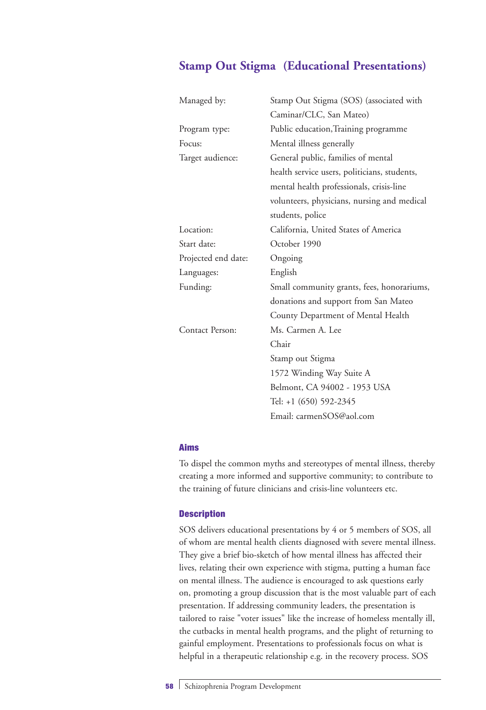# **Stamp Out Stigma (Educational Presentations)**

| Managed by:         | Stamp Out Stigma (SOS) (associated with      |
|---------------------|----------------------------------------------|
|                     | Caminar/CLC, San Mateo)                      |
| Program type:       | Public education, Training programme         |
| Focus:              | Mental illness generally                     |
| Target audience:    | General public, families of mental           |
|                     | health service users, politicians, students, |
|                     | mental health professionals, crisis-line     |
|                     | volunteers, physicians, nursing and medical  |
|                     | students, police                             |
| Location:           | California, United States of America         |
| Start date:         | October 1990                                 |
| Projected end date: | Ongoing                                      |
| Languages:          | English                                      |
| Funding:            | Small community grants, fees, honorariums,   |
|                     | donations and support from San Mateo         |
|                     | County Department of Mental Health           |
| Contact Person:     | Ms. Carmen A. Lee                            |
|                     | Chair                                        |
|                     | Stamp out Stigma                             |
|                     | 1572 Winding Way Suite A                     |
|                     | Belmont, CA 94002 - 1953 USA                 |
|                     | Tel: +1 (650) 592-2345                       |
|                     | Email: carmenSOS@aol.com                     |

#### **Aims**

To dispel the common myths and stereotypes of mental illness, thereby creating a more informed and supportive community; to contribute to the training of future clinicians and crisis-line volunteers etc.

### **Description**

SOS delivers educational presentations by 4 or 5 members of SOS, all of whom are mental health clients diagnosed with severe mental illness. They give a brief bio-sketch of how mental illness has affected their lives, relating their own experience with stigma, putting a human face on mental illness. The audience is encouraged to ask questions early on, promoting a group discussion that is the most valuable part of each presentation. If addressing community leaders, the presentation is tailored to raise "voter issues" like the increase of homeless mentally ill, the cutbacks in mental health programs, and the plight of returning to gainful employment. Presentations to professionals focus on what is helpful in a therapeutic relationship e.g. in the recovery process. SOS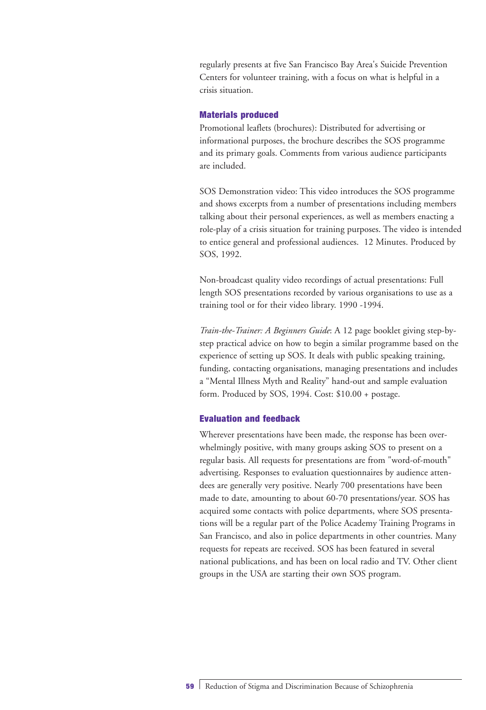regularly presents at five San Francisco Bay Area's Suicide Prevention Centers for volunteer training, with a focus on what is helpful in a crisis situation.

# **Materials produced**

Promotional leaflets (brochures): Distributed for advertising or informational purposes, the brochure describes the SOS programme and its primary goals. Comments from various audience participants are included.

SOS Demonstration video: This video introduces the SOS programme and shows excerpts from a number of presentations including members talking about their personal experiences, as well as members enacting a role-play of a crisis situation for training purposes. The video is intended to entice general and professional audiences. 12 Minutes. Produced by SOS, 1992.

Non-broadcast quality video recordings of actual presentations: Full length SOS presentations recorded by various organisations to use as a training tool or for their video library. 1990 -1994.

*Train-the-Trainer: A Beginners Guide*: A 12 page booklet giving step-bystep practical advice on how to begin a similar programme based on the experience of setting up SOS. It deals with public speaking training, funding, contacting organisations, managing presentations and includes a "Mental Illness Myth and Reality" hand-out and sample evaluation form. Produced by SOS, 1994. Cost: \$10.00 + postage.

#### **Evaluation and feedback**

Wherever presentations have been made, the response has been overwhelmingly positive, with many groups asking SOS to present on a regular basis. All requests for presentations are from "word-of-mouth" advertising. Responses to evaluation questionnaires by audience attendees are generally very positive. Nearly 700 presentations have been made to date, amounting to about 60-70 presentations/year. SOS has acquired some contacts with police departments, where SOS presentations will be a regular part of the Police Academy Training Programs in San Francisco, and also in police departments in other countries. Many requests for repeats are received. SOS has been featured in several national publications, and has been on local radio and TV. Other client groups in the USA are starting their own SOS program.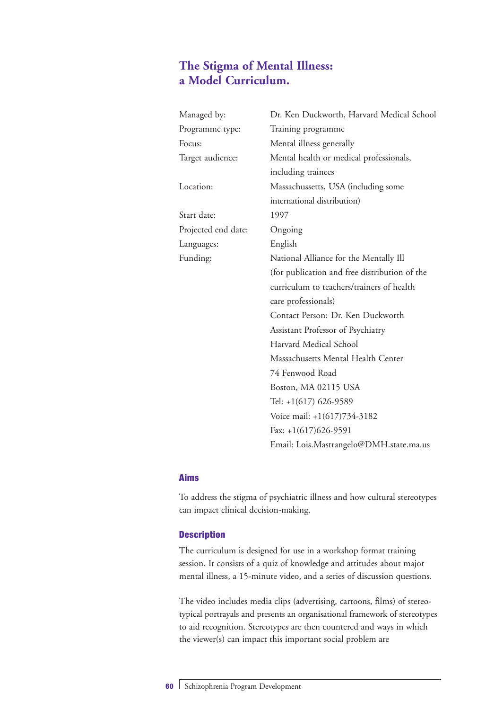# **The Stigma of Mental Illness: a Model Curriculum.**

| Managed by:         | Dr. Ken Duckworth, Harvard Medical School     |
|---------------------|-----------------------------------------------|
| Programme type:     | Training programme                            |
| Focus:              | Mental illness generally                      |
| Target audience:    | Mental health or medical professionals,       |
|                     | including trainees                            |
| Location:           | Massachussetts, USA (including some           |
|                     | international distribution)                   |
| Start date:         | 1997                                          |
| Projected end date: | Ongoing                                       |
| Languages:          | English                                       |
| Funding:            | National Alliance for the Mentally Ill        |
|                     | (for publication and free distribution of the |
|                     | curriculum to teachers/trainers of health     |
|                     | care professionals)                           |
|                     | Contact Person: Dr. Ken Duckworth             |
|                     | Assistant Professor of Psychiatry             |
|                     | Harvard Medical School                        |
|                     | Massachusetts Mental Health Center            |
|                     | 74 Fenwood Road                               |
|                     | Boston, MA 02115 USA                          |
|                     | Tel: +1(617) 626-9589                         |
|                     | Voice mail: +1(617)734-3182                   |
|                     | Fax: $+1(617)626-9591$                        |
|                     | Email: Lois.Mastrangelo@DMH.state.ma.us       |

### **Aims**

To address the stigma of psychiatric illness and how cultural stereotypes can impact clinical decision-making.

## **Description**

The curriculum is designed for use in a workshop format training session. It consists of a quiz of knowledge and attitudes about major mental illness, a 15-minute video, and a series of discussion questions.

The video includes media clips (advertising, cartoons, films) of stereotypical portrayals and presents an organisational framework of stereotypes to aid recognition. Stereotypes are then countered and ways in which the viewer(s) can impact this important social problem are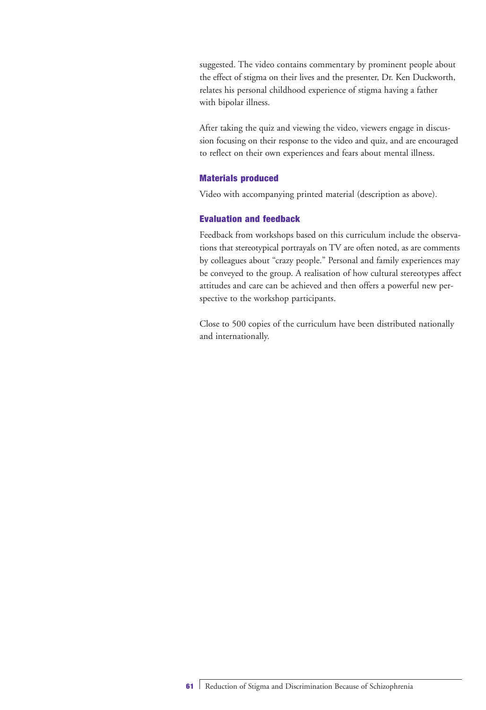suggested. The video contains commentary by prominent people about the effect of stigma on their lives and the presenter, Dr. Ken Duckworth, relates his personal childhood experience of stigma having a father with bipolar illness.

After taking the quiz and viewing the video, viewers engage in discussion focusing on their response to the video and quiz, and are encouraged to reflect on their own experiences and fears about mental illness.

# **Materials produced**

Video with accompanying printed material (description as above).

## **Evaluation and feedback**

Feedback from workshops based on this curriculum include the observations that stereotypical portrayals on TV are often noted, as are comments by colleagues about "crazy people." Personal and family experiences may be conveyed to the group. A realisation of how cultural stereotypes affect attitudes and care can be achieved and then offers a powerful new perspective to the workshop participants.

Close to 500 copies of the curriculum have been distributed nationally and internationally.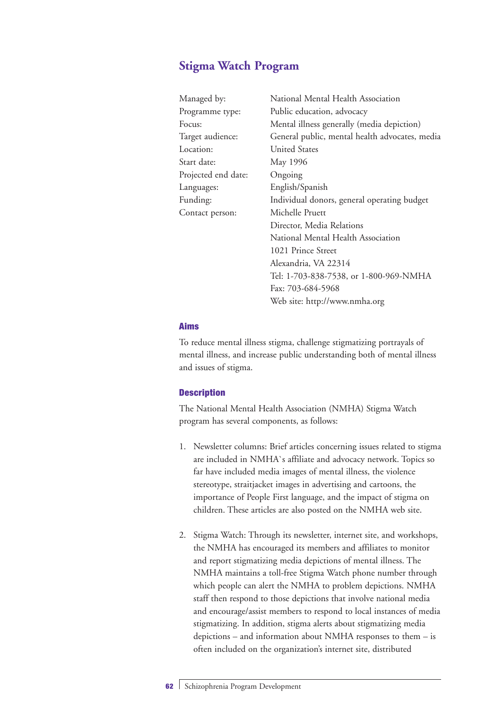# **Stigma Watch Program**

| Managed by:         | National Mental Health Association             |
|---------------------|------------------------------------------------|
| Programme type:     | Public education, advocacy                     |
| Focus:              | Mental illness generally (media depiction)     |
| Target audience:    | General public, mental health advocates, media |
| Location:           | United States                                  |
| Start date:         | May 1996                                       |
| Projected end date: | Ongoing                                        |
| Languages:          | English/Spanish                                |
| Funding:            | Individual donors, general operating budget    |
| Contact person:     | Michelle Pruett                                |
|                     | Director, Media Relations                      |
|                     | National Mental Health Association             |
|                     | 1021 Prince Street                             |
|                     | Alexandria, VA 22314                           |
|                     | Tel: 1-703-838-7538, or 1-800-969-NMHA         |
|                     | Fax: 703-684-5968                              |
|                     | Web site: http://www.nmha.org                  |

#### **Aims**

To reduce mental illness stigma, challenge stigmatizing portrayals of mental illness, and increase public understanding both of mental illness and issues of stigma.

## **Description**

The National Mental Health Association (NMHA) Stigma Watch program has several components, as follows:

- 1. Newsletter columns: Brief articles concerning issues related to stigma are included in NMHA`s affiliate and advocacy network. Topics so far have included media images of mental illness, the violence stereotype, straitjacket images in advertising and cartoons, the importance of People First language, and the impact of stigma on children. These articles are also posted on the NMHA web site.
- 2. Stigma Watch: Through its newsletter, internet site, and workshops, the NMHA has encouraged its members and affiliates to monitor and report stigmatizing media depictions of mental illness. The NMHA maintains a toll-free Stigma Watch phone number through which people can alert the NMHA to problem depictions. NMHA staff then respond to those depictions that involve national media and encourage/assist members to respond to local instances of media stigmatizing. In addition, stigma alerts about stigmatizing media depictions – and information about NMHA responses to them – is often included on the organization's internet site, distributed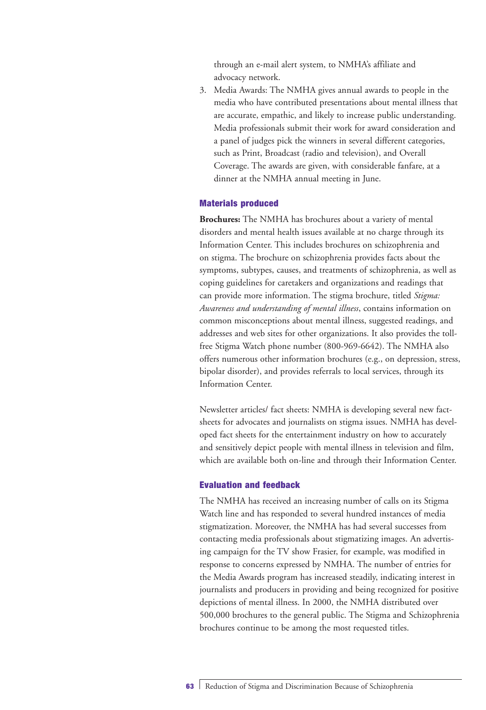through an e-mail alert system, to NMHA's affiliate and advocacy network.

3. Media Awards: The NMHA gives annual awards to people in the media who have contributed presentations about mental illness that are accurate, empathic, and likely to increase public understanding. Media professionals submit their work for award consideration and a panel of judges pick the winners in several different categories, such as Print, Broadcast (radio and television), and Overall Coverage. The awards are given, with considerable fanfare, at a dinner at the NMHA annual meeting in June.

#### **Materials produced**

**Brochures:** The NMHA has brochures about a variety of mental disorders and mental health issues available at no charge through its Information Center. This includes brochures on schizophrenia and on stigma. The brochure on schizophrenia provides facts about the symptoms, subtypes, causes, and treatments of schizophrenia, as well as coping guidelines for caretakers and organizations and readings that can provide more information. The stigma brochure, titled *Stigma: Awareness and understanding of mental illness*, contains information on common misconceptions about mental illness, suggested readings, and addresses and web sites for other organizations. It also provides the tollfree Stigma Watch phone number (800-969-6642). The NMHA also offers numerous other information brochures (e.g., on depression, stress, bipolar disorder), and provides referrals to local services, through its Information Center.

Newsletter articles/ fact sheets: NMHA is developing several new factsheets for advocates and journalists on stigma issues. NMHA has developed fact sheets for the entertainment industry on how to accurately and sensitively depict people with mental illness in television and film, which are available both on-line and through their Information Center.

#### **Evaluation and feedback**

The NMHA has received an increasing number of calls on its Stigma Watch line and has responded to several hundred instances of media stigmatization. Moreover, the NMHA has had several successes from contacting media professionals about stigmatizing images. An advertising campaign for the TV show Frasier, for example, was modified in response to concerns expressed by NMHA. The number of entries for the Media Awards program has increased steadily, indicating interest in journalists and producers in providing and being recognized for positive depictions of mental illness. In 2000, the NMHA distributed over 500,000 brochures to the general public. The Stigma and Schizophrenia brochures continue to be among the most requested titles.